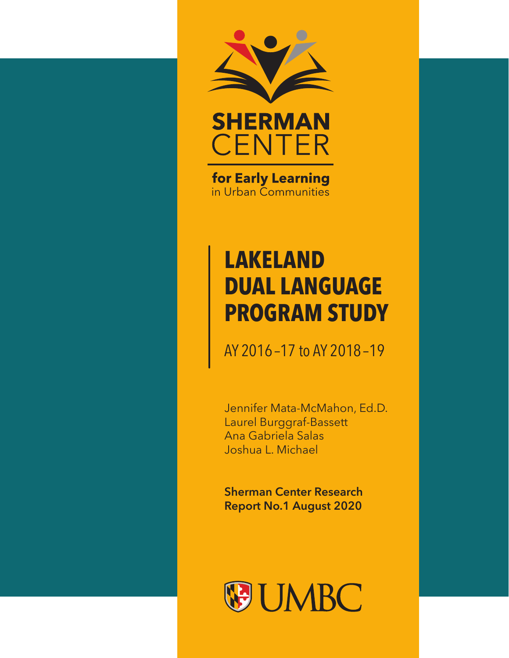



for Early Learning in Urban Communities

# **LAKELAND DUAL LANGUAGE PROGRAM STUDY**

AY 2016 –17 to AY 2018 –19

Jennifer Mata-McMahon, Ed.D. Laurel Burggraf-Bassett Ana Gabriela Salas Joshua L. Michael

**Sherman Center Research Report No.1 August 2020**

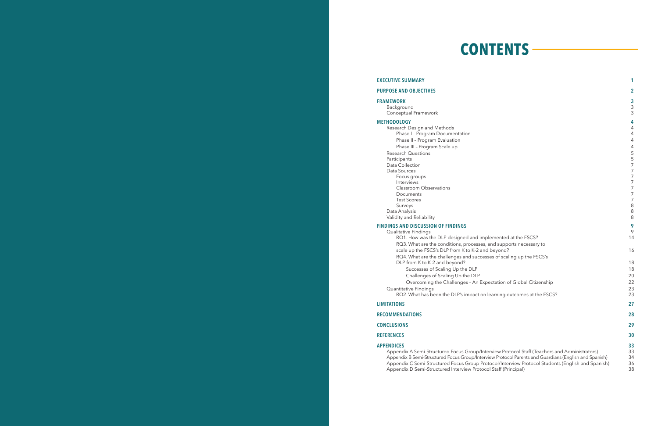#### **EXECUTIVE SUMMARY** 1

#### **PURPOSE AND OBJECTIVES**

# **CONTENTS**

### **METHODOLOGY 4**

#### **FINDINGS AND DISCUSSION OF FINDINGS**

| <b>PURPOSE AND OBJECTIVES</b>                                                                         | $\overline{2}$                     |
|-------------------------------------------------------------------------------------------------------|------------------------------------|
| <b>FRAMEWORK</b>                                                                                      | 3                                  |
| Background                                                                                            | $\mathsf 3$                        |
| Conceptual Framework                                                                                  | 3                                  |
| <b>METHODOLOGY</b>                                                                                    | 4                                  |
| Research Design and Methods                                                                           | 4                                  |
| Phase I - Program Documentation                                                                       | 4                                  |
| Phase II - Program Evaluation                                                                         | 4                                  |
| Phase III - Program Scale up                                                                          | 4                                  |
| <b>Research Questions</b>                                                                             | 5                                  |
| Participants                                                                                          | 5                                  |
| Data Collection                                                                                       | $\overline{7}$                     |
| Data Sources                                                                                          | $\overline{7}$                     |
| Focus groups                                                                                          | $\overline{7}$                     |
| Interviews                                                                                            | $\overline{7}$                     |
| <b>Classroom Observations</b>                                                                         | $\overline{7}$                     |
| Documents<br><b>Test Scores</b>                                                                       | $\overline{7}$<br>$\boldsymbol{7}$ |
| Surveys                                                                                               | $\,8\,$                            |
| Data Analysis                                                                                         | 8                                  |
| Validity and Reliability                                                                              | $\,8\,$                            |
|                                                                                                       | 9                                  |
| <b>FINDINGS AND DISCUSSION OF FINDINGS</b><br>Qualitative Findings                                    | 9                                  |
| RQ1. How was the DLP designed and implemented at the FSCS?                                            | 14                                 |
| RQ3. What are the conditions, processes, and supports necessary to                                    |                                    |
| scale up the FSCS's DLP from K to K-2 and beyond?                                                     | 16                                 |
| RQ4. What are the challenges and successes of scaling up the FSCS's                                   |                                    |
| DLP from K to K-2 and beyond?                                                                         | 18                                 |
| Successes of Scaling Up the DLP                                                                       | 18                                 |
| Challenges of Scaling Up the DLP                                                                      | 20                                 |
| Overcoming the Challenges - An Expectation of Global Citizenship                                      | 22                                 |
| Quantitative Findings                                                                                 | 23                                 |
| RQ2. What has been the DLP's impact on learning outcomes at the FSCS?                                 | 23                                 |
|                                                                                                       |                                    |
| <b>LIMITATIONS</b>                                                                                    | 27                                 |
| <b>RECOMMENDATIONS</b>                                                                                | 28                                 |
| <b>CONCLUSIONS</b>                                                                                    | 29                                 |
| <b>REFERENCES</b>                                                                                     | 30                                 |
| <b>APPENDICES</b>                                                                                     | 33                                 |
| Appendix A Semi-Structured Focus Group/Interview Protocol Staff (Teachers and Administrators)         | 33                                 |
| Appendix B Semi-Structured Focus Group/Interview Protocol Parents and Guardians (English and Spanish) | 34                                 |
| Appendix C Semi-Structured Focus Group Protocol/Interview Protocol Students (English and Spanish)     | 36                                 |
| Appendix D Semi-Structured Interview Protocol Staff (Principal)                                       | 38                                 |

### **RECOMMENDATIONS 28**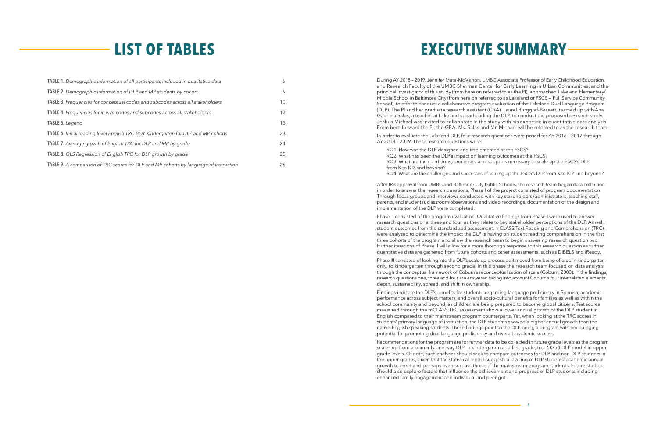**1**

# **LIST OF TABLES**

During AY 2018 – 2019, Jennifer Mata-McMahon, UMBC Associate Professor of Early Childhood Education, and Research Faculty of the UMBC Sherman Center for Early Learning in Urban Communities, and the principal investigator of this study (from here on referred to as the PI), approached Lakeland Elementary/ Middle School in Baltimore City (from here on referred to as Lakeland or FSCS — Full Service Community School), to offer to conduct a collaborative program evaluation of the Lakeland Dual Language Program (DLP). The PI and her graduate research assistant (GRA), Laurel Burggraf-Bassett, teamed up with Ana Gabriela Salas, a teacher at Lakeland spearheading the DLP, to conduct the proposed research study. Joshua Michael was invited to collaborate in the study with his expertise in quantitative data analysis. From here forward the PI, the GRA, Ms. Salas and Mr. Michael will be referred to as the research team.

In order to evaluate the Lakeland DLP, four research questions were posed for AY 2016 – 2017 through AY 2018 – 2019. These research questions were:

RQ1. How was the DLP designed and implemented at the FSCS? RQ2. What has been the DLP's impact on learning outcomes at the FSCS? RQ3. What are the conditions, processes, and supports necessary to scale up the FSCS's DLP from K to K-2 and beyond? RQ4. What are the challenges and successes of scaling up the FSCS's DLP from K to K-2 and beyond?

After IRB approval from UMBC and Baltimore City Public Schools, the research team began data collection in order to answer the research questions. Phase I of the project consisted of program documentation. Through focus groups and interviews conducted with key stakeholders (administrators, teaching staff, parents, and students), classroom observations and video recordings, documentation of the design and implementation of the DLP were completed.

Phase II consisted of the program evaluation. Qualitative findings from Phase I were used to answer research questions one, three and four, as they relate to key stakeholder perceptions of the DLP. As well, student outcomes from the standardized assessment, mCLASS Text Reading and Comprehension (TRC), were analyzed to determine the impact the DLP is having on student reading comprehension in the first three cohorts of the program and allow the research team to begin answering research question two. Further iterations of Phase II will allow for a more thorough response to this research question as further quantitative data are gathered from future cohorts and other assessments, such as DIBELS and iReady.

Phase III consisted of looking into the DLP's scale up process, as it moved from being offered in kindergarten only, to kindergarten through second grade. In this phase the research team focused on data analysis through the conceptual framework of Coburn's reconceptualization of scale (Coburn, 2003). In the findings, research questions one, three and four are answered taking into account Coburn's four interrelated elements: depth, sustainability, spread, and shift in ownership.

Findings indicate the DLP's benefits for students, regarding language proficiency in Spanish, academic performance across subject matters, and overall socio-cultural benefits for families as well as within the school community and beyond, as children are being prepared to become global citizens. Test scores measured through the mCLASS TRC assessment show a lower annual growth of the DLP student in English compared to their mainstream program counterparts. Yet, when looking at the TRC scores in students' primary language of instruction, the DLP students showed a higher annual growth than the native-English speaking students. These findings point to the DLP being a program with encouraging potential for promoting dual language proficiency and overall academic success.

Recommendations for the program are for further data to be collected in future grade levels as the program scales up from a primarily one-way DLP in kindergarten and first grade, to a 50/50 DLP model in upper grade levels. Of note, such analyses should seek to compare outcomes for DLP and non-DLP students in the upper grades, given that the statistical model suggests a leveling of DLP students' academic annual growth to meet and perhaps even surpass those of the mainstream program students. Future studies should also explore factors that influence the achievement and progress of DLP students including enhanced family engagement and individual and peer grit.

# **EXECUTIVE SUMMARY**

| TABLE 1. Demographic information of all participants included in qualitative data     | 6  |
|---------------------------------------------------------------------------------------|----|
| <b>TABLE 2.</b> Demographic information of DLP and MP students by cohort              | 6  |
| <b>TABLE 3.</b> Frequencies for conceptual codes and subcodes across all stakeholders | 10 |
| <b>TABLE 4.</b> Frequencies for in vivo codes and subcodes across all stakeholders    | 12 |
| TABLE 5. Legend                                                                       | 13 |
| TABLE 6. Initial reading level English TRC BOY Kindergarten for DLP and MP cohorts    | 23 |
| <b>TABLE 7.</b> Average growth of English TRC for DLP and MP by grade                 | 24 |
| TABLE 8. OLS Regression of English TRC for DLP growth by grade                        | 25 |
| TABLE 9. A comparison of TRC scores for DLP and MP cohorts by language of instruction | 26 |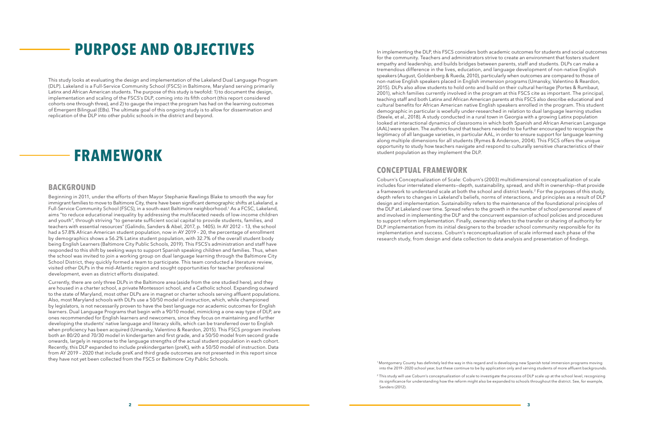In implementing the DLP, this FSCS considers both academic outcomes for students and social outcomes for the community. Teachers and administrators strive to create an environment that fosters student empathy and leadership, and builds bridges between parents, staff and students. DLPs can make a tremendous difference in the lives, education, and language development of non-native English speakers (August, Goldenberg & Rueda, 2010), particularly when outcomes are compared to those of non-native English speakers placed in English immersion programs (Umansky, Valentino & Reardon, 2015). DLPs also allow students to hold onto and build on their cultural heritage (Portes & Rumbaut, 2001), which families currently involved in the program at this FSCS cite as important. The principal, teaching staff and both Latinx and African American parents at this FSCS also describe educational and cultural benefits for African American native English speakers enrolled in the program. This student demographic in particular is woefully under-researched in relation to dual language learning studies (Steele, et al., 2018). A study conducted in a rural town in Georgia with a growing Latinx population looked at interactional dynamics of classrooms in which both Spanish and African American Language (AAL) were spoken. The authors found that teachers needed to be further encouraged to recognize the legitimacy of all language varieties, in particular AAL, in order to ensure support for language learning along multiple dimensions for all students (Rymes & Anderson, 2004). This FSCS offers the unique opportunity to study how teachers navigate and respond to culturally sensitive characteristics of their student population as they implement the DLP.

<sup>2</sup> This study will use Coburn's conceptualization of scale to investigate the process of DLP scale up at the school level, recognizing its significance for understanding how the reform might also be expanded to schools throughout the district. See, for example, Sanders (2012).

# **CONCEPTUAL FRAMEWORK**

Coburn's Conceptualization of Scale: Coburn's (2003) multidimensional conceptualization of scale includes four interrelated elements—depth, sustainability, spread, and shift in ownership—that provide a framework to understand scale at both the school and district levels.<sup>2</sup> For the purposes of this study, depth refers to changes in Lakeland's beliefs, norms of interactions, and principles as a result of DLP design and implementation. Sustainability refers to the maintenance of the foundational principles of the DLP at Lakeland over time. Spread refers to the growth in the number of school personnel aware of and involved in implementing the DLP and the concurrent expansion of school policies and procedures to support reform implementation. Finally, ownership refers to the transfer or sharing of authority for DLP implementation from its initial designers to the broader school community responsible for its implementation and success. Coburn's reconceptualization of scale informed each phase of the research study, from design and data collection to data analysis and presentation of findings.

<sup>1</sup>Montgomery County has definitely led the way in this regard and is developing new Spanish total immersion programs moving into the 2019–2020 school year, but these continue to be by application only and serving students of more affluent backgrounds.

This study looks at evaluating the design and implementation of the Lakeland Dual Language Program (DLP). Lakeland is a Full-Service Community School (FSCS) in Baltimore, Maryland serving primarily Latinx and African American students. The purpose of this study is twofold: 1) to document the design, implementation and scaling of the FSCS's DLP, coming into its fifth cohort (this report considered cohorts one through three), and 2) to gauge the impact the program has had on the learning outcomes of Emergent Bilingual (EBs). The ultimate goal of this ongoing study is to allow for dissemination and replication of the DLP into other public schools in the district and beyond.

## **BACKGROUND**

Beginning in 2011, under the efforts of then Mayor Stephanie Rawlings Blake to smooth the way for immigrant families to move to Baltimore City, there have been significant demographic shifts at Lakeland, a Full-Service Community School (FSCS), in a south-east Baltimore neighborhood.1 As a FCSC, Lakeland, aims "to reduce educational inequality by addressing the multifaceted needs of low-income children and youth", through striving "to generate sufficient social capital to provide students, families, and teachers with essential resources" (Galindo, Sanders & Abel, 2017, p. 140S). In AY 2012 – 13, the school had a 57.8% African American student population, now in AY 2019 - 20, the percentage of enrollment by demographics shows a 56.2% Latinx student population, with 32.7% of the overall student body being English Learners (Baltimore City Public Schools, 2019). This FSCS's administration and staff have responded to this shift by seeking ways to support Spanish speaking children and families. Thus, when the school was invited to join a working group on dual language learning through the Baltimore City School District, they quickly formed a team to participate. This team conducted a literature review, visited other DLPs in the mid-Atlantic region and sought opportunities for teacher professional development, even as district efforts dissipated.

Currently, there are only three DLPs in the Baltimore area (aside from the one studied here), and they are housed in a charter school, a private Montessori school, and a Catholic school. Expanding outward to the state of Maryland, most other DLPs are in magnet or charter schools serving affluent populations. Also, most Maryland schools with DLPs use a 50/50 model of instruction, which, while championed by legislators, is not necessarily proven to have the best language nor academic outcomes for English learners. Dual Language Programs that begin with a 90/10 model, mimicking a one-way type of DLP, are ones recommended for English learners and newcomers, since they focus on maintaining and further developing the students' native language and literacy skills, which can be transferred over to English when proficiency has been acquired (Umansky, Valentino & Reardon, 2015). This FSCS program involves both an 80/20 and 70/30 model in kindergarten and first grade, and a 50/50 model from second grade onwards, largely in response to the language strengths of the actual student population in each cohort. Recently, this DLP expanded to include prekindergarten (preK), with a 50/50 model of instruction. Data from AY 2019 – 2020 that include preK and third grade outcomes are not presented in this report since they have not yet been collected from the FSCS or Baltimore City Public Schools.

# **PURPOSE AND OBJECTIVES**

# **FRAMEWORK**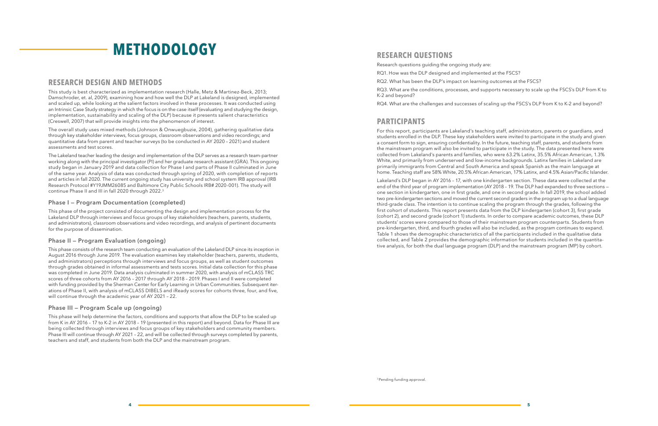**4 5**

## **RESEARCH QUESTIONS**

Research questions guiding the ongoing study are:

RQ1. How was the DLP designed and implemented at the FSCS?

RQ2. What has been the DLP's impact on learning outcomes at the FSCS?

RQ3. What are the conditions, processes, and supports necessary to scale up the FSCS's DLP from K to K-2 and beyond?

RQ4. What are the challenges and successes of scaling up the FSCS's DLP from K to K-2 and beyond?

## **PARTICIPANTS**

For this report, participants are Lakeland's teaching staff, administrators, parents or guardians, and students enrolled in the DLP. These key stakeholders were invited to participate in the study and given a consent form to sign, ensuring confidentiality. In the future, teaching staff, parents, and students from the mainstream program will also be invited to participate in the study. The data presented here were collected from Lakeland's parents and families, who were 63.2% Latinx, 35.5% African American, 1.3% White, and primarily from underserved and low-income backgrounds. Latinx families in Lakeland are primarily immigrants from Central and South America and speak Spanish as the main language at home. Teaching staff are 58% White, 20.5% African American, 17% Latinx, and 4.5% Asian/Pacific Islander.

Lakeland's DLP began in AY 2016 – 17, with one kindergarten section. These data were collected at the end of the third year of program implementation (AY 2018 – 19. The DLP had expanded to three sections one section in kindergarten, one in first grade, and one in second grade. In fall 2019, the school added two pre-kindergarten sections and moved the current second graders in the program up to a dual language third-grade class. The intention is to continue scaling the program through the grades, following the first cohort of students. This report presents data from the DLP kindergarten (cohort 3), first grade (cohort 2), and second grade (cohort 1) students. In order to compare academic outcomes, these DLP students' scores were compared to those of their mainstream program counterparts. Students from pre-kindergarten, third, and fourth grades will also be included, as the program continues to expand. Table 1 shows the demographic characteristics of all the participants included in the qualitative data collected, and Table 2 provides the demographic information for students included in the quantitative analysis, for both the dual language program (DLP) and the mainstream program (MP) by cohort.

<sup>3</sup> Pending funding approval.

## **RESEARCH DESIGN AND METHODS**

This study is best characterized as implementation research (Halle, Metz & Martinez-Beck, 2013; Damschroder, et. al, 2009), examining how and how well the DLP at Lakeland is designed, implemented and scaled up, while looking at the salient factors involved in these processes. It was conducted using an Intrinsic Case Study strategy in which the focus is on the case itself (evaluating and studying the design, implementation, sustainability and scaling of the DLP) because it presents salient characteristics (Creswell, 2007) that will provide insights into the phenomenon of interest.

The overall study uses mixed methods (Johnson & Onwuegbuzie, 2004), gathering qualitative data through key stakeholder interviews, focus groups, classroom observations and video recordings; and quantitative data from parent and teacher surveys (to be conducted in AY 2020 – 2021) and student assessments and test scores.

The Lakeland teacher leading the design and implementation of the DLP serves as a research team-partner working along with the principal investigator (PI) and her graduate research assistant (GRA). This ongoing study began in January 2019 and data collection for Phase I and parts of Phase II culminated in June of the same year. Analysis of data was conducted through spring of 2020, with completion of reports and articles in fall 2020. The current ongoing study has university and school system IRB approval (IRB Research Protocol #Y19JMM26085 and Baltimore City Public Schools IRB# 2020-001). The study will continue Phase II and III in fall 2020 through 2022.3

### **Phase I — Program Documentation (completed)**

This phase of the project consisted of documenting the design and implementation process for the Lakeland DLP through interviews and focus groups of key stakeholders (teachers, parents, students, and administrators), classroom observations and video recordings, and analysis of pertinent documents for the purpose of dissemination.

### **Phase II — Program Evaluation (ongoing)**

This phase consists of the research team conducting an evaluation of the Lakeland DLP since its inception in August 2016 through June 2019. The evaluation examines key stakeholder (teachers, parents, students, and administrators) perceptions through interviews and focus groups, as well as student outcomes through grades obtained in informal assessments and tests scores. Initial data collection for this phase was completed in June 2019. Data analysis culminated in summer 2020, with analysis of mCLASS TRC scores of three cohorts from AY 2016 – 2017 through AY 2018 – 2019. Phases I and II were completed with funding provided by the Sherman Center for Early Learning in Urban Communities. Subsequent iterations of Phase II, with analysis of mCLASS DIBELS and iReady scores for cohorts three, four, and five, will continue through the academic year of AY 2021 – 22.

### **Phase III — Program Scale up (ongoing)**

This phase will help determine the factors, conditions and supports that allow the DLP to be scaled up from K in AY 2016 – 17 to K-2 in AY 2018 – 19 (presented in this report) and beyond. Data for Phase III are being collected through interviews and focus groups of key stakeholders and community members. Phase III will continue through AY 2021 – 22, and will be collected through surveys completed by parents, teachers and staff, and students from both the DLP and the mainstream program.

# **METHODOLOGY**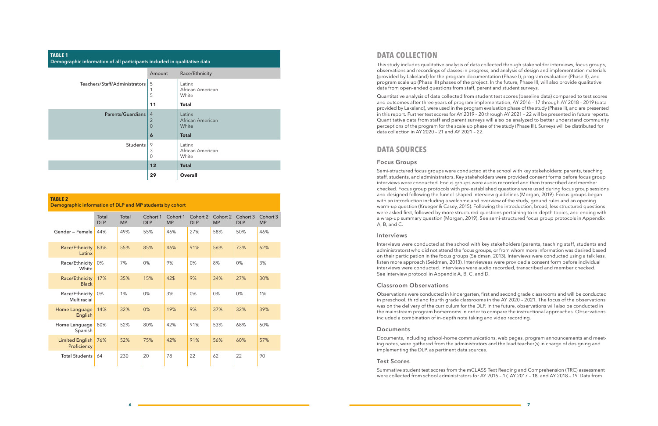## **DATA COLLECTION**

This study includes qualitative analysis of data collected through stakeholder interviews, focus groups, observations and recordings of classes in progress, and analysis of design and implementation materials (provided by Lakeland) for the program documentation (Phase I), program evaluation (Phase II), and program scale up (Phase III) phases of the project. In the future, Phase III, will also provide qualitative data from open-ended questions from staff, parent and student surveys.

Quantitative analysis of data collected from student test scores (baseline data) compared to test scores and outcomes after three years of program implementation, AY 2016 – 17 through AY 2018 – 2019 (data provided by Lakeland), were used in the program evaluation phase of the study (Phase II), and are presented in this report. Further test scores for AY 2019 – 20 through AY 2021 – 22 will be presented in future reports. Quantitative data from staff and parent surveys will also be analyzed to better understand community perceptions of the program for the scale up phase of the study (Phase III). Surveys will be distributed for data collection in AY 2020 – 21 and AY 2021 – 22.

### **DATA SOURCES**

#### **Focus Groups**

Semi-structured focus groups were conducted at the school with key stakeholders: parents, teaching staff, students, and administrators. Key stakeholders were provided consent forms before focus group interviews were conducted. Focus groups were audio recorded and then transcribed and member checked. Focus group protocols with pre-established questions were used during focus group sessions and designed following the funnel-shaped interview guidelines (Morgan, 2019). Focus groups began with an introduction including a welcome and overview of the study, ground rules and an opening warm-up question (Krueger & Casey, 2015). Following the introduction, broad, less structured questions were asked first, followed by more structured questions pertaining to in-depth topics, and ending with a wrap-up summary question (Morgan, 2019). See semi-structured focus group protocols in Appendix A, B, and C.

#### **Interviews**

Interviews were conducted at the school with key stakeholders (parents, teaching staff, students and administrators) who did not attend the focus groups, or from whom more information was desired based on their participation in the focus groups (Seidman, 2013). Interviews were conducted using a talk less, listen more approach (Seidman, 2013). Interviewees were provided a consent form before individual interviews were conducted. Interviews were audio recorded, transcribed and member checked. See interview protocol in Appendix A, B, C, and D.

#### **Classroom Observations**

Observations were conducted in kindergarten, first and second grade classrooms and will be conducted in preschool, third and fourth grade classrooms in the AY 2020 – 2021. The focus of the observations was on the delivery of the curriculum for the DLP. In the future, observations will also be conducted in the mainstream program homerooms in order to compare the instructional approaches. Observations included a combination of in-depth note taking and video recording.

#### **Documents**

Documents, including school-home communications, web pages, program announcements and meeting notes, were gathered from the administrators and the lead teacher(s) in charge of designing and implementing the DLP, as pertinent data sources.

#### **Test Scores**

Summative student test scores from the mCLASS Text Reading and Comprehension (TRC) assessment were collected from school administrators for AY 2016 – 17, AY 2017 – 18, and AY 2018 – 19. Data from

| <b>TABLE 1</b><br>Demographic information of all participants included in qualitative data |                                              |                                     |  |  |  |  |  |  |
|--------------------------------------------------------------------------------------------|----------------------------------------------|-------------------------------------|--|--|--|--|--|--|
|                                                                                            | Amount                                       | Race/Ethnicity                      |  |  |  |  |  |  |
| Teachers/Staff/Administrators                                                              | 5<br>5                                       | Latinx<br>African American<br>White |  |  |  |  |  |  |
|                                                                                            | 11                                           | <b>Total</b>                        |  |  |  |  |  |  |
| Parents/Guardians                                                                          | $\overline{4}$<br>$\overline{2}$<br>$\Omega$ | Latinx<br>African American<br>White |  |  |  |  |  |  |
|                                                                                            | $\boldsymbol{6}$                             | <b>Total</b>                        |  |  |  |  |  |  |
| <b>Students</b>                                                                            | 9<br>3<br>$\mathbf 0$                        | Latinx<br>African American<br>White |  |  |  |  |  |  |
|                                                                                            | 12                                           | <b>Total</b>                        |  |  |  |  |  |  |
|                                                                                            | 29                                           | <b>Overall</b>                      |  |  |  |  |  |  |

#### **TABLE 2**

**Demographic information of DLP and MP students by cohort**

|                                       | Total<br><b>DLP</b> | Total<br><b>MP</b> | Cohort 1<br><b>DLP</b> | Cohort 1<br><b>MP</b> | Cohort 2<br><b>DLP</b> | Cohort 2<br><b>MP</b> | Cohort 3<br><b>DLP</b> | Cohort 3<br><b>MP</b> |
|---------------------------------------|---------------------|--------------------|------------------------|-----------------------|------------------------|-----------------------|------------------------|-----------------------|
| Gender - Female                       | 44%                 | 49%                | 55%                    | 46%                   | 27%                    | 58%                   | 50%                    | 46%                   |
| Race/Ethnicity<br>Latinx              | 83%                 | 55%                | 85%                    | 46%                   | 91%                    | 56%                   | 73%                    | 62%                   |
| Race/Ethnicity<br>White               | 0%                  | 7%                 | 0%                     | 9%                    | 0%                     | 8%                    | 0%                     | 3%                    |
| Race/Ethnicity<br><b>Black</b>        | 17%                 | 35%                | 15%                    | 42\$                  | 9%                     | 34%                   | 27%                    | 30%                   |
| Race/Ethnicity<br>Multiracial         | 0%                  | 1%                 | 0%                     | 3%                    | 0%                     | 0%                    | 0%                     | 1%                    |
| Home Language<br>English              | 14%                 | 32%                | 0%                     | 19%                   | 9%                     | 37%                   | 32%                    | 39%                   |
| Home Language<br>Spanish              | 80%                 | 52%                | 80%                    | 42%                   | 91%                    | 53%                   | 68%                    | 60%                   |
| <b>Limited English</b><br>Proficiency | 76%                 | 52%                | 75%                    | 42%                   | 91%                    | 56%                   | 60%                    | 57%                   |
| <b>Total Students</b>                 | 64                  | 230                | 20                     | 78                    | 22                     | 62                    | 22                     | 90                    |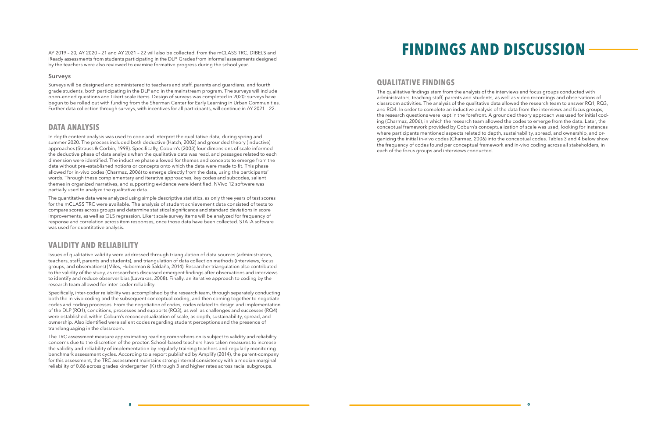## **QUALITATIVE FINDINGS**

The qualitative findings stem from the analysis of the interviews and focus groups conducted with administrators, teaching staff, parents and students, as well as video recordings and observations of classroom activities. The analysis of the qualitative data allowed the research team to answer RQ1, RQ3, and RQ4. In order to complete an inductive analysis of the data from the interviews and focus groups, the research questions were kept in the forefront. A grounded theory approach was used for initial coding (Charmaz, 2006), in which the research team allowed the codes to emerge from the data. Later, the conceptual framework provided by Coburn's conceptualization of scale was used, looking for instances where participants mentioned aspects related to depth, sustainability, spread, and ownership, and organizing the initial in-vivo codes (Charmaz, 2006) into the conceptual codes. Tables 3 and 4 below show the frequency of codes found per conceptual framework and in-vivo coding across all stakeholders, in each of the focus groups and interviews conducted.

iReady assessments from students participating in the DLP. Grades from informal assessments designed by the teachers were also reviewed to examine formative progress during the school year.

#### **Surveys**

Surveys will be designed and administered to teachers and staff, parents and guardians, and fourth grade students, both participating in the DLP and in the mainstream program. The surveys will include open-ended questions and Likert scale items. Design of surveys was completed in 2020; surveys have begun to be rolled out with funding from the Sherman Center for Early Learning in Urban Communities. Further data collection through surveys, with incentives for all participants, will continue in AY 2021 – 22.

## **DATA ANALYSIS**

In depth content analysis was used to code and interpret the qualitative data, during spring and summer 2020. The process included both deductive (Hatch, 2002) and grounded theory (inductive) approaches (Strauss & Corbin, 1998). Specifically, Coburn's (2003) four dimensions of scale informed the deductive phase of data analysis when the qualitative data was read, and passages related to each dimension were identified. The inductive phase allowed for themes and concepts to emerge from the data without pre-established notions or concepts onto which the data were made to fit. This phase allowed for in-vivo codes (Charmaz, 2006) to emerge directly from the data, using the participants' words. Through these complementary and iterative approaches, key codes and subcodes, salient themes in organized narratives, and supporting evidence were identified. NVivo 12 software was partially used to analyze the qualitative data.

The quantitative data were analyzed using simple descriptive statistics, as only three years of test scores for the mCLASS TRC were available. The analysis of student achievement data consisted of tests to compare scores across groups and determine statistical significance and standard deviations in score improvements, as well as OLS regression. Likert scale survey items will be analyzed for frequency of response and correlation across item responses, once those data have been collected. STATA software was used for quantitative analysis.

# **VALIDITY AND RELIABILITY**

Issues of qualitative validity were addressed through triangulation of data sources (administrators, teachers, staff, parents and students), and triangulation of data collection methods (interviews, focus groups, and observations) (Miles, Huberman & Saldaña, 2014). Researcher triangulation also contributed to the validity of the study, as researchers discussed emergent findings after observations and interviews to identify and reduce observer bias (Lavrakas, 2008). Finally, an iterative approach to coding by the research team allowed for inter-coder reliability.

Specifically, inter-coder reliability was accomplished by the research team, through separately conducting both the in-vivo coding and the subsequent conceptual coding, and then coming together to negotiate codes and coding processes. From the negotiation of codes, codes related to design and implementation of the DLP (RQ1), conditions, processes and supports (RQ3), as well as challenges and successes (RQ4) were established, within Coburn's reconceptualization of scale, as depth, sustainability, spread, and ownership. Also identified were salient codes regarding student perceptions and the presence of translanguaging in the classroom.

The TRC assessment measure approximating reading comprehension is subject to validity and reliability concerns due to the discretion of the proctor. School-based teachers have taken measures to increase the validity and reliability of implementation by regularly training teachers and regularly monitoring benchmark assessment cycles. According to a report published by Amplify (2014), the parent-company for this assessment, the TRC assessment maintains strong internal consistency with a median marginal reliability of 0.86 across grades kindergarten (K) through 3 and higher rates across racial subgroups.

# AY 2019 – 20, AY 2020 – 21 and AY 2021 – 22 will also be collected, from the mCLASS TRC, DIBELS and **FINDINGS AND DISCUSSION**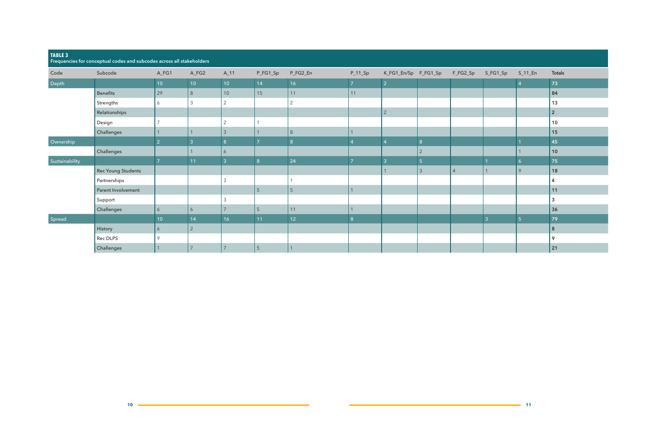| TABLE 3        | Frequencies for conceptual codes and subcodes across all stakeholders |                 |                |                 |                |                 |           |                               |                |                |              |                |                |
|----------------|-----------------------------------------------------------------------|-----------------|----------------|-----------------|----------------|-----------------|-----------|-------------------------------|----------------|----------------|--------------|----------------|----------------|
| Code           | Subcode                                                               | $A_FG1$         | A_FG2          | $A_11$          | P_FG1_Sp       | P_FG2_En        | $P_11_Sp$ | K_FG1_En/Sp F_FG1_Sp F_FG2_Sp |                |                | S_FG1_Sp     | $S_11_F$       | <b>Totals</b>  |
| Depth          |                                                                       | 10 <sup>°</sup> | 10             | 10 <sup>°</sup> | 14             | 16              | 7         | $\mathcal{P}$                 |                |                |              |                | 73             |
|                | Benefits                                                              | 29              | 8              | 10              | 15             | 11              | 11        |                               |                |                |              |                | 84             |
|                | Strengths                                                             | 6               | $\mathfrak{Z}$ | $\overline{2}$  |                | $\overline{2}$  |           |                               |                |                |              |                | 13             |
|                | Relationships                                                         |                 |                |                 |                |                 |           | $\overline{2}$                |                |                |              |                | $\overline{2}$ |
|                | Design                                                                |                 |                | $\mathcal{P}$   |                |                 |           |                               |                |                |              |                | $ 10\rangle$   |
|                | Challenges                                                            |                 |                | 3               |                | $\,8\,$         |           |                               |                |                |              |                | 15             |
| Ownership      |                                                                       | $\overline{2}$  | 3              | 8 <sup>°</sup>  |                | 8               |           | $\overline{4}$                | 8              |                |              |                | 45             |
|                | Challenges                                                            |                 |                | 6               |                |                 |           |                               | $\overline{2}$ |                |              |                | 10             |
| Sustainability |                                                                       |                 | 11             | $\overline{3}$  | 8              | 24              |           | 3                             | -5             |                |              |                | 75             |
|                | Rec Young Students                                                    |                 |                |                 |                |                 |           |                               | $\overline{3}$ | $\overline{4}$ | $\mathbf{1}$ | $\overline{Q}$ | 18             |
|                | Partnerships                                                          |                 |                |                 |                |                 |           |                               |                |                |              |                | $\overline{4}$ |
|                | Parent Involvement                                                    |                 |                |                 | 5 <sup>5</sup> | $5\phantom{.}$  |           |                               |                |                |              |                | 11             |
|                | Support                                                               |                 |                |                 |                |                 |           |                               |                |                |              |                | $\mathbf{3}$   |
|                | Challenges                                                            | 6               | 6              |                 | 5 <sup>5</sup> | 11              |           |                               |                |                |              |                | 36             |
| Spread         |                                                                       | 10 <sup>°</sup> | 14             | 16              | 11             | 12 <sub>2</sub> | 8         |                               |                |                | 3            | -5             | 79             |
|                | History                                                               | 6               | $\sqrt{2}$     |                 |                |                 |           |                               |                |                |              |                | $\bf{8}$       |
|                | Rec DLPS                                                              | $\circ$         |                |                 |                |                 |           |                               |                |                |              |                | 9              |
|                | Challenges                                                            |                 |                | $\overline{7}$  | $5\phantom{.}$ |                 |           |                               |                |                |              |                | 21             |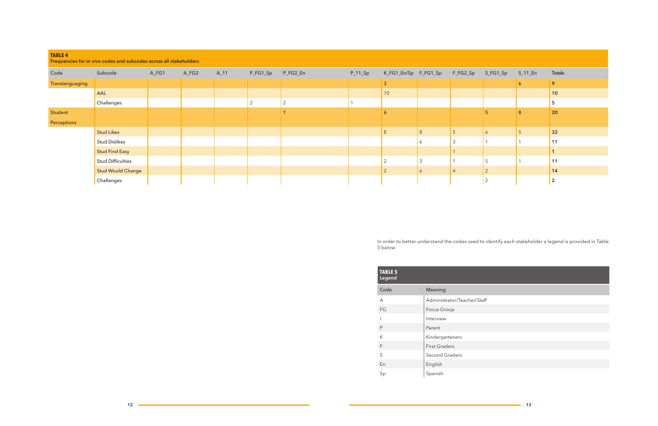| <b>TABLE 4</b><br>Frequencies for in vivo codes and subcodes across all stakeholders |                   |       |       |          |          |          |           |                      |              |          |                |          |                |
|--------------------------------------------------------------------------------------|-------------------|-------|-------|----------|----------|----------|-----------|----------------------|--------------|----------|----------------|----------|----------------|
| Code                                                                                 | Subcode           | A_FG1 | A_FG2 | $A_1$ 11 | P_FG1_Sp | P_FG2_En | $P_11_Sp$ | K_FG1_En/Sp F_FG1_Sp |              | F_FG2_Sp | S_FG1_Sp       | $S_11_F$ | <b>Totals</b>  |
| Translanguaging                                                                      |                   |       |       |          |          |          |           | 3                    |              |          |                | 6        | 9              |
|                                                                                      | AAL               |       |       |          |          |          |           | $10$                 |              |          |                |          | $ 10\rangle$   |
|                                                                                      | Challenges        |       |       |          | 2        | ∠        |           |                      |              |          |                |          | -<br>ා         |
| Student                                                                              |                   |       |       |          |          |          |           | 6                    |              |          |                | 8        | 20             |
| Perceptions                                                                          |                   |       |       |          |          |          |           |                      |              |          |                |          |                |
|                                                                                      | Stud Likes        |       |       |          |          |          |           | 8                    | 8            | 5        | $\ddot{\circ}$ |          | 32             |
|                                                                                      | Stud Dislikes     |       |       |          |          |          |           |                      | <sup>6</sup> |          |                |          | 11             |
|                                                                                      | Stud Find Easy    |       |       |          |          |          |           |                      |              |          |                |          |                |
|                                                                                      | Stud Difficulties |       |       |          |          |          |           |                      | 3            |          | -              |          | 11             |
|                                                                                      | Stud Would Change |       |       |          |          |          |           | $\Omega$             | 6            |          | $\overline{2}$ |          | 14             |
|                                                                                      | Challenges        |       |       |          |          |          |           |                      |              |          | $\overline{2}$ |          | $\overline{2}$ |

In order to better understand the codes used to identify each stakeholder a legend is provided in Table 5 below.

| <b>TABLE 5</b><br>Legend |                             |
|--------------------------|-----------------------------|
| Code                     | Meaning                     |
| A                        | Administrator/Teacher/Staff |
| FG                       | Focus Group                 |
|                          | Interview                   |
| P                        | Parent                      |
| К                        | Kindergarteners             |
| F                        | <b>First Graders</b>        |
| S                        | <b>Second Graders</b>       |
| En                       | English                     |
| Sp                       | Spanish                     |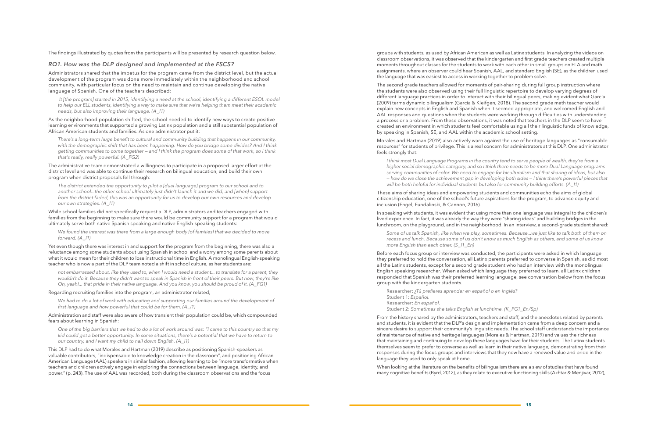The findings illustrated by quotes from the participants will be presented by research question below.

#### *RQ1. How was the DLP designed and implemented at the FSCS?*

Administrators shared that the impetus for the program came from the district level, but the actual development of the program was done more immediately within the neighborhood and school community, with particular focus on the need to maintain and continue developing the native language of Spanish. One of the teachers described:

 *It [the program] started in 2015, identifying a need at the school, identifying a different ESOL model to help our ELL students, identifying a way to make sure that we're helping them meet their academic needs, but also improving their language. (A\_I1)*

As the neighborhood population shifted, the school needed to identify new ways to create positive learning environments that supported a growing Latinx population and a still substantial population of African American students and families. As one administrator put it:

*There's a long-term huge benefit to cultural and community building that happens in our community, with the demographic shift that has been happening. How do you bridge some divides? And I think getting communities to come together — and I think the program does some of that work, so I think that's really, really powerful. (A\_FG2)*

The administrative team demonstrated a willingness to participate in a proposed larger effort at the district level and was able to continue their research on bilingual education, and build their own program when district proposals fell through:

*The district extended the opportunity to pilot a [dual language] program to our school and to another school...the other school ultimately just didn't launch it and we did, and [when] support from the district faded, this was an opportunity for us to develop our own resources and develop our own strategies. (A\_I1)*

While school families did not specifically request a DLP, administrators and teachers engaged with families from the beginning to make sure there would be community support for a program that would ultimately serve both native Spanish speaking and native English-speaking students:

*We found the interest was there from a large enough body [of families] that we decided to move forward. (A\_I1)*

Yet even though there was interest in and support for the program from the beginning, there was also a reluctance among some students about using Spanish in school and a worry among some parents about what it would mean for their children to lose instructional time in English. A monolingual English-speaking teacher who is now a part of the DLP team noted a shift in school culture, as her students are:

*not embarrassed about, like they used to, when I would need a student... to translate for a parent, they wouldn't do it. Because they didn't want to speak in Spanish in front of their peers. But now, they're like Oh, yeah!... that pride in their native language. And you know, you should be proud of it. (A\_FG1)*

#### Regarding recruiting families into the program, an administrator related,

*We had to do a lot of work with educating and supporting our families around the development of first language and how powerful that could be for them. (A\_I1)*

#### Administration and staff were also aware of how transient their population could be, which compounded fears about learning in Spanish:

*One of the big barriers that we had to do a lot of work around was: "I came to this country so that my kid could get a better opportunity. In some situations, there's a potential that we have to return to our country, and I want my child to nail down English. (A\_I1)*

This DLP had to do what Morales and Hartman (2019) describe as positioning Spanish-speakers as valuable contributors, "indispensable to knowledge creation in the classroom", and positioning African American Language (AAL) speakers in similar fashion, allowing learning to be "more transformative when teachers and children actively engage in exploring the connections between language, identity, and power." (p. 243). The use of AAL was recorded, both during the classroom observations and the focus

groups with students, as used by African American as well as Latinx students. In analyzing the videos on classroom observations, it was observed that the kindergarten and first grade teachers created multiple moments throughout classes for the students to work with each other in small groups on ELA and math assignments, where an observer could hear Spanish, AAL, and standard English (SE), as the children used the language that was easiest to access in working together to problem solve.

The second grade teachers allowed for moments of pair-sharing during full group instruction where the students were also observed using their full linguistic repertoire to develop varying degrees of different language practices in order to interact with their bilingual peers, making evident what García (2009) terms dynamic bilingualism (García & Kleifgen, 2018). The second grade math teacher would explain new concepts in English and Spanish when it seemed appropriate, and welcomed English and AAL responses and questions when the students were working through difficulties with understanding a process or a problem. From these observations, it was noted that teachers in the DLP seem to have created an environment in which students feel comfortable using all their linguistic funds of knowledge, by speaking in Spanish, SE, and AAL within the academic school setting.

Morales and Hartman (2019) also actively warn against the use of heritage languages as "consumable resources" for students of privilege. This is a real concern for administrators at this DLP. One administrator feels strongly that:

*I think most Dual Language Programs in the country tend to serve people of wealth, they're from a higher social demographic category, and so I think there needs to be more Dual Language programs serving communities of color. We need to engage for biculturalism and that sharing of ideas, but also — how do we close the achievement gap in developing both sides — I think there's powerful pieces that will be both helpful for individual students but also for community building efforts. (A\_I1)*

These aims of sharing ideas and empowering students and communities echo the aims of global citizenship education, one of the school's future aspirations for the program, to advance equity and inclusion (Engel, Fundalinski, & Cannon, 2016).

In speaking with students, it was evident that using more than one language was integral to the children's lived experience. In fact, it was already the way they were "sharing ideas" and building bridges in the lunchroom, on the playground, and in the neighborhood. In an interview, a second-grade student shared:

*Some of us talk Spanish, like when we play, sometimes. Because...we just like to talk both of them on recess and lunch. Because some of us don't know as much English as others, and some of us know more English than each other. (S\_I1\_En)*

Before each focus group or interview was conducted, the participants were asked in which language they preferred to hold the conversation, all Latinx parents preferred to converse in Spanish, as did most all the Latinx students, except for a second grade student who had an interview with the monolingual English speaking researcher. When asked which language they preferred to learn, all Latinx children responded that Spanish was their preferred learning language, see conversation below from the focus group with the kindergarten students.

Researcher: *¿Tú prefieres aprender en español o en inglés?* Student 1: *Español.* Researcher: *En español.* Student 2: *Sometimes she talks English at lunchtime. (K\_FG1\_En/Sp)* 

From the history shared by the administrators, teachers and staff, and the anecdotes related by parents and students, it is evident that the DLP's design and implementation came from a deep concern and a sincere desire to support their community's linguistic needs. The school staff understands the importance of maintenance of native and heritage languages (Morales & Hartman, 2019) and values the richness that maintaining and continuing to develop these languages have for their students. The Latinx students themselves seem to prefer to converse as well as learn in their native language, demonstrating from their responses during the focus groups and interviews that they now have a renewed value and pride in the language they used to only speak at home.

When looking at the literature on the benefits of bilingualism there are a slew of studies that have found many cognitive benefits (Byrd, 2012), as they relate to executive functioning skills (Akhtar & Menjivar, 2012),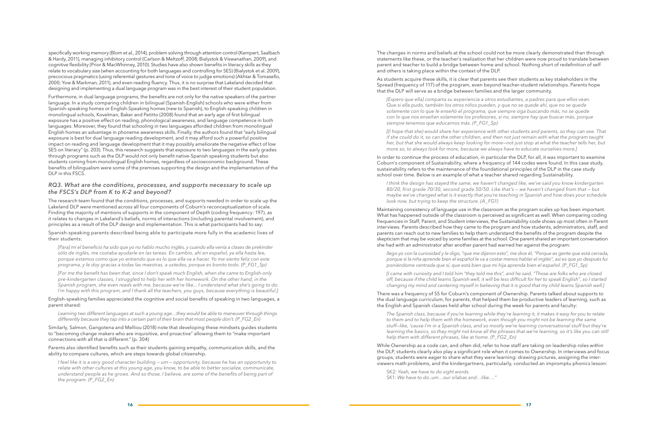specifically working memory (Blom et al., 2014), problem solving through attention control (Kempert, Saalbach & Hardy, 2011), managing inhibitory control (Carlson & Meltzoff, 2008; Bialystok & Viswanathan, 2009), and cognitive flexibility (Prior & MacWhinney, 2010). Studies have also shown benefits in literacy skills as they relate to vocabulary size (when accounting for both languages and controlling for SES) (Bialystok et al. 2009), precocious pragmatics (using referential gestures and tone of voice to judge emotions) (Akhtar & Tomasello, 2000; Yow & Markman, 2011), and even reading fluency. Thus, it is no surprise that Lakeland decided that designing and implementing a dual language program was in the best interest of their student population.

Furthermore, in dual language programs, the benefits are not only for the native speakers of the partner language. In a study comparing children in bilingual (Spanish-English) schools who were either from Spanish-speaking homes or English-Speaking homes (new to Spanish), to English-speaking children in monolingual schools, Kovelman, Baker and Petitto (2008) found that an early age of first bilingual exposure has a positive effect on reading, phonological awareness, and language competence in both languages. Moreover, they found that schooling in two languages afforded children from monolingual English homes an advantage in phoneme awareness skills. Finally, the authors found that "early bilingual exposure is best for dual language reading development, and it may afford such a powerful positive impact on reading and language development that it may possibly ameliorate the negative effect of low SES on literacy" (p. 203). Thus, this research suggests that exposure to two languages in the early grades through programs such as the DLP would not only benefit native-Spanish speaking students but also students coming from monolingual English homes, regardless of socioeconomic background. These benefits of bilingualism were some of the premises supporting the design and the implementation of the DLP in this FSCS.

### *RQ3. What are the conditions, processes, and supports necessary to scale up the FSCS's DLP from K to K-2 and beyond?*

The research team found that the conditions, processes, and supports needed in order to scale up the Lakeland DLP were mentioned across all four components of Coburn's reconceptualization of scale. Finding the majority of mentions of supports in the component of Depth (coding frequency: 197), as it relates to changes in Lakeland's beliefs, norms of interactions (including parental involvement), and principles as a result of the DLP design and implementation. This is what participants had to say:

Spanish-speaking parents described being able to participate more fully in the academic lives of their students:

*[Para] mí el beneficio ha sido que yo no hablo mucho inglés, y cuando ella venía a clases de prekinder sólo de inglés, me costaba ayudarle en las tareas. En cambio, ahí en español, ya ella hasta lee, porque estamos como que yo entiendo que es lo que ella va a hacer. Yo me siento feliz con este programa, y le doy gracias a todas las maestras, a ustedes, porque es bonito todo. (P\_FG1\_Sp)*

*[For me the benefit has been that, since I don't speak much English, when she came to English-only pre-kindergarten classes, I struggled to help her with her homework. On the other hand, in the Spanish program, she even reads with me, because we're like... I understand what she's going to do. I'm happy with this program, and I thank all the teachers, you guys, because everything is beautiful.]* *I think the design has stayed the same, we haven't changed like, we've said you know kindergarten 80/20, first grade 70/30, second grade 50/50. Like that's — we haven't changed from that — but maybe we've changed what is it exactly that you're teaching in Spanish and how does your schedule look now, but trying to keep the structure. (A\_FG1)*

English-speaking families appreciated the cognitive and social benefits of speaking in two languages, a parent shared:

*Learning two different languages at such a young age…they would be able to maneuver through things differently because they tap into a certain part of their brain that most people don't. (P\_FG2\_En)*

Similarly, Salmon, Gangotena and Melliou (2018) note that developing these mindsets guides students to "becoming change makers who are inquisitive, and proactive" allowing them to "make important connections with all that is different." (p. 304)

Parents also identified benefits such as their students gaining empathy, communication skills, and the ability to compare cultures, which are steps towards global citizenship.

*I feel like it is a very good character building — um — opportunity, because he has an opportunity to relate with other cultures at this young age, you know, to be able to better socialize, communicate, understand people as he grows. And so those, I believe, are some of the benefits of being part of the program. (P\_FG2\_En)*

The changes in norms and beliefs at the school could not be more clearly demonstrated than through statements like these, or the teacher's realization that her children were now proud to translate between parent and teacher to build a bridge between home and school. Nothing short of redefinition of self and others is taking place within the context of the DLP.

As students acquire these skills, it is clear that parents see their students as key stakeholders in the Spread (frequency of 117) of the program, even beyond teacher-student relationships. Parents hope that the DLP will serve as a bridge between families and the larger community.

*[Espero que ella] comparta su experiencia a otros estudiantes, a padres para que ellos vean. Que si ella pudo, también los otros niños pueden, y que no se quede ahí, que no se quede solamente con lo que le enseñó el programa, que siempre siga buscando más, no se quede con lo que nos enseñan solamente los profesores, si no, siempre hay que buscar más, porque siempre tenemos que educarnos más. (P\_FG1\_Sp)*

*[(I hope that she) would share her experience with other students and parents, so they can see. That if she could do it, so can the other children, and then not just remain with what the program taught her, but that she would always keep looking for more—not just stop at what the teacher tells her, but more so, to always look for more, because we always have to educate ourselves more.]*

In order to continue the process of education, in particular the DLP, for all, it was important to examine Coburn's component of Sustainability, where a frequency of 144 codes were found. In this case study, sustainability refers to the maintenance of the foundational principles of the DLP in the case study school over time. Below is an example of what a teacher shared regarding Sustainability.

Maintaining consistency of language use in the classroom as the program scales up has been important. What has happened outside of the classroom is perceived as significant as well. When comparing coding frequencies in Staff, Parent, and Student interviews, the Sustainability code shows up most often in Parent interviews. Parents described how they came to the program and how students, administrators, staff, and parents can reach out to new families to help them understand the benefits of the program despite the skepticism that may be voiced by some families at the school. One parent shared an important conversation she had with an administrator after another parent had warned her against the program:

*llego yo con la curiosidad y le digo, "que me dijeron esto", me dice él, "Porque es gente que está cerrada, porque si la niña aprende bien el español le va a costar menos hablar el inglés", así es que yo después fui poniéndome centrada que sí, que está bien que mi hija aprenda bien el español. (P\_FG1\_Sp)*

*[I came with curiosity and I told him "they told me this", and he said, "Those are folks who are closed off, because if the child learns Spanish well, it will be less difficult for her to speak English", so I started changing my mind and centering myself in believing that it is good that my child learns Spanish well.]*

There was a frequency of 55 for Coburn's component of Ownership. Parents talked about supports to the dual language curriculum, for parents, that helped them be productive leaders of learning, such as

# the English and Spanish classes held after school during the week for parents and faculty:

*The Spanish class, because if you're learning while they're learning it, it makes it easy for you to relate*  to them and to help them with the homework, even though you might not be learning the same *stuff—like, 'cause I'm in a Spanish class, and so mostly we're learning conversational stuff but they're learning the basics, so they might not know all the phrases that we're learning, so it's like you can still help them with different phrases, like at home. (P\_FG2\_En)*

While Ownership as a code can, and often did, refer to how staff are taking on leadership roles within the DLP, students clearly also play a significant role when it comes to Ownership. In interviews and focus groups, students were eager to share what they were learning: drawing pictures, assigning the interviewers math problems, and the kindergartners, particularly, conducted an impromptu phonics lesson:

SK2: *Yeah, we have to do sight words.* SK1: *We have to do..um…our sílabas and…like…."*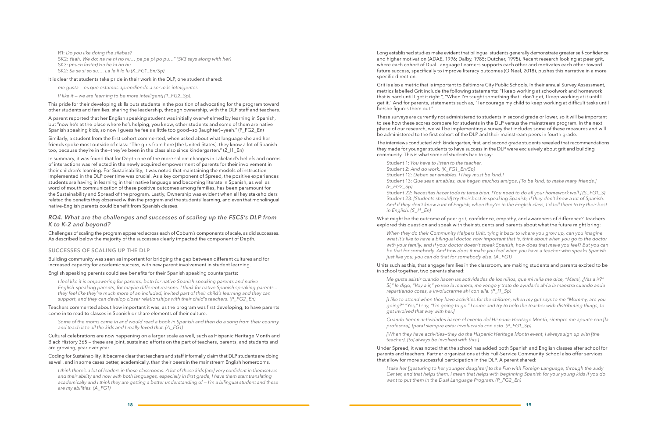**18 19**

R1: *Do you like doing the sílabas?* SK2: *Yeah. We do: na ne ni no nu… pa pe pi po pu…" (SK3 says along with her)*  SK3: *(much faster) Ha he hi ho hu*  SK2: *Sa se si so su…. La le li lo lu (K\_FG1\_En/Sp)*

It is clear that students take pride in their work in the DLP, one student shared:

*me gusta — es que estamos aprendiendo a ser más inteligentes* 

*[I like it — we are learning to be more intelligent] (1\_FG2\_Sp).* 

Similarly, a student from the first cohort commented, when asked about what language she and her friends spoke most outside of class: "The girls from here [the United States], they know a lot of Spanish too, because they're in the–they've been in the class also since kindergarten." (2\_I1\_En)

This pride for their developing skills puts students in the position of advocating for the program toward other students and families, sharing the leadership, through ownership, with the DLP staff and teachers.

A parent reported that her English speaking student was initially overwhelmed by learning in Spanish, but "now he's at the place where he's helping, you know, other students and some of them are native Spanish speaking kids, so now I guess he feels a little too good—so (laughter)—yeah." (P\_FG2\_En)

In summary, it was found that for Depth one of the more salient changes in Lakeland's beliefs and norms of interactions was reflected in the newly acquired empowerment of parents for their involvement in their children's learning. For Sustainability, it was noted that maintaining the models of instruction implemented in the DLP over time was crucial. As a key component of Spread, the positive experiences students are having in learning in their native language and becoming literate in Spanish, as well as word of mouth communication of these positive outcomes among families, has been paramount for the Sustainability and Spread of the program. Lastly, Ownership was evident when all key stakeholders related the benefits they observed within the program and the students' learning, and even that monolingual native-English parents could benefit from Spanish classes.

### *RQ4. What are the challenges and successes of scaling up the FSCS's DLP from K to K-2 and beyond?*

Challenges of scaling the program appeared across each of Coburn's components of scale, as did successes. As described below the majority of the successes clearly impacted the component of Depth.

#### **SUCCESSES OF SCALING UP THE DLP**

Building community was seen as important for bridging the gap between different cultures and for increased capacity for academic success, with new parent involvement in student learning.

English speaking parents could see benefits for their Spanish speaking counterparts:

*I feel like it is empowering for parents, both for native Spanish speaking parents and native English-speaking parents, for maybe different reasons. I think for native Spanish speaking parents... they feel like they're much more of an included, invited part of their child's learning and they can support, and they can develop closer relationships with their child's teachers. (P\_FG2\_En)*

Teachers commented about how important it was, as the program was first developing, to have parents come in to read to classes in Spanish or share elements of their culture.

*Some of the moms came in and would read a book in Spanish and then do a song from their country and teach it to all the kids and I really loved that. (A\_FG1)*

Cultural celebrations are now happening on a larger scale as well, such as Hispanic Heritage Month and Black History 365 *—* these are joint, sustained efforts on the part of teachers, parents, and students and are growing, year over year.

Coding for Sustainability, it became clear that teachers and staff informally claim that DLP students are doing as well, and in some cases better, academically, than their peers in the mainstream English homerooms.

*I think there's a lot of leaders in these classrooms. A lot of these kids [are] very confident in themselves and their ability and now with both languages, especially in first grade, I have them start translating academically and I think they are getting a better understanding of — I'm a bilingual student and these are my abilities. (A\_FG1)*

Long established studies make evident that bilingual students generally demonstrate greater self-confidence and higher motivation (ADAE, 1996; Dalby, 1985; Dutcher, 1995). Recent research looking at peer grit, where each cohort of Dual Language Learners supports each other and motivates each other toward future success, specifically to improve literacy outcomes (O'Neal, 2018), pushes this narrative in a more specific direction.

Grit is also a metric that is important to Baltimore City Public Schools. In their annual Survey Assessment, metrics labelled Grit include the following statements: "I keep working at schoolwork and homework that is hard until I get it right.", "When I'm taught something that I don't get, I keep working at it until I get it." And for parents, statements such as, "I encourage my child to keep working at difficult tasks until he/she figures them out."

These surveys are currently not administered to students in second grade or lower, so it will be important to see how these scores compare for students in the DLP versus the mainstream program. In the next phase of our research, we will be implementing a survey that includes some of these measures and will be administered to the first cohort of the DLP and their mainstream peers in fourth grade.

The interviews conducted with kindergarten, first, and second grade students revealed that recommendations they made for younger students to have success in the DLP were exclusively about grit and building community. This is what some of students had to say:

Student 1: *You have to listen to the teacher.*  Student 2: *And do work. (K\_FG1\_En/Sp)* Student 12: *Deben ser amables. [They must be kind.]*  Student 13: *Que sean amables, que hagan muchos amigos. [To be kind, to make many friends.] (F\_FG2\_Sp)*

Student 22: *Necesitas hacer toda tu tarea bien. [You need to do all your homework well.] (S\_FG1\_S)* Student 23: *[Students should] try their best in speaking Spanish, if they don't know a lot of Spanish. And if they don't know a lot of English, when they're in the English class, I'd tell them to try their best in English. (S\_I1\_En)*

#### What might be the outcome of peer grit, confidence, empathy, and awareness of difference? Teachers explored this question and speak with their students and parents about what the future might bring:

*When they do their Community Helpers Unit, tying it back to where you grow up, can you imagine what it's like to have a bilingual doctor, how important that is, think about when you go to the doctor with your family, and if your doctor doesn't speak Spanish, how does that make you feel? But you can be that for somebody. And how does it make you feel when you have a teacher who speaks Spanish just like you, you can do that for somebody else. (A\_FG1)*

Units such as this, that engage families in the classroom, are making students and parents excited to be

# in school together, two parents shared:

*Me gusta asistir cuando hacen las actividades de los niños, que mi niña me dice, "Mami, ¿Vas a ir?" Sí," le digo, "Voy a ir," yo veo la manera, me vengo y trato de ayudarle ahí a la maestra cuando anda repartiendo cosas, a involucrarme ahí con ella. (P\_I1\_Sp)*

*[I like to attend when they have activities for the children, when my girl says to me "Mommy, are you going?" "Yes," I say, "I'm going to go." I come and try to help the teacher with distributing things, to get involved that way with her.]*

*Cuando tienen actividades hacen el evento del Hispanic Heritage Month, siempre me apunto con [la profesora], [para] siempre estar involucrada con esto. (P\_FG1\_Sp)*

*[When they have activities—they do the Hispanic Heritage Month event, I always sign up with [the teacher], [to] always be involved with this.]*

Under Spread, it was noted that the school has added both Spanish and English classes after school for parents and teachers. Partner organizations at this Full-Service Community School also offer services that allow for more successful participation in the DLP. A parent shared:

*I take her [gesturing to her younger daughter] to the Fun with Foreign Language, through the Judy Center, and that helps them, I mean that helps with beginning Spanish for your young kids if you do want to put them in the Dual Language Program. (P\_FG2\_En)*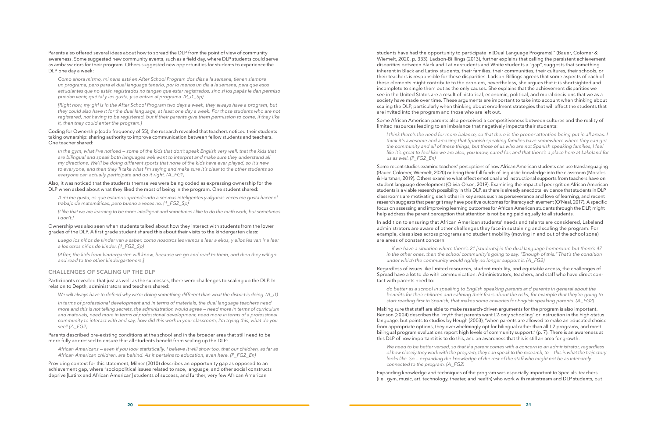**20 21**

Parents also offered several ideas about how to spread the DLP from the point of view of community awareness. Some suggested new community events, such as a field day, where DLP students could serve as ambassadors for their program. Others suggested new opportunities for students to experience the DLP one day a week:

*Como ahora mismo, mi nena está en After School Program dos días a la semana, tienen siempre un programa, pero para el dual language tenerlo, por lo menos un día a la semana, para que esos estudiantes que no están registrados no tengan que estar registrados, sino si los papás le dan permiso puedan venir, qué tal y les gusta, y se entran al programa. (P\_I1\_Sp)*

*[Right now, my girl is in the After School Program two days a week, they always have a program, but they could also have it for the dual language, at least one day a week. For those students who are not registered, not having to be registered, but if their parents give them permission to come, if they like it, then they could enter the program.]*

Coding for Ownership (code frequency of 55), the research revealed that teachers noticed their students taking ownership: sharing authority to improve communication between fellow students and teachers. One teacher shared:

*In the gym, what I've noticed — some of the kids that don't speak English very well, that the kids that are bilingual and speak both languages well want to interpret and make sure they understand all my directions. We'll be doing different sports that none of the kids have ever played, so it's new to everyone, and then they'll take what I'm saying and make sure it's clear to the other students so everyone can actually participate and do it right. (A\_FG1)*

Also, it was noticed that the students themselves were being coded as expressing ownership for the DLP when asked about what they liked the most of being in the program. One student shared:

*A mi me gusta, es que estamos aprendiendo a ser mas inteligentes y algunas veces me gusta hacer el trabajo de matemáticas, pero bueno a veces no. (1\_FG2\_Sp)*

*[I like that we are learning to be more intelligent and sometimes I like to do the math work, but sometimes I don't.]*

Ownership was also seen when students talked about how they interact with students from the lower grades of the DLP. A first grade student shared this about their visits to the kindergarten class:

*Luego los niños de kinder van a saber, como nosotros les vamos a leer a ellos, y ellos les van ir a leer a los otros niños de kinder. (1\_FG2\_Sp)*

*[After, the kids from kindergarten will know, because we go and read to them, and then they will go and read to the other kindergarteners.]* 

#### **CHALLENGES OF SCALING UP THE DLP**

#### Participants revealed that just as well as the successes, there were challenges to scaling up the DLP. In relation to Depth, administrators and teachers shared:

*We will always have to defend why we're doing something different than what the district is doing. (A\_I1)*

*In terms of professional development and in terms of materials, the dual language teachers need more and this is not telling secrets, the administration would agree — need more in terms of curriculum and materials, need more in terms of professional development, need more in terms of a professional community to interact with and say, how did this work in your classroom, I'm trying this, what do you see? (A\_FG2)*

#### Parents described pre-existing conditions at the school and in the broader area that still need to be more fully addressed to ensure that all students benefit from scaling up the DLP:

*African Americans — even if you look statistically, I believe it will show too, that our children, as far as African American children, are behind. As it pertains to education, even here. (P\_FG2\_En)*

Providing context for this statement, Milner (2010) describes an opportunity gap as opposed to an achievement gap, where "sociopolitical issues related to race, language, and other social constructs deprive [Latinx and African American] students of success, and further, very few African American

students have had the opportunity to participate in [Dual Language Programs]." (Bauer, Colomer & Wiemelt, 2020, p. 333). Ladson-Billlings (2013), further explains that calling the persistent achievement disparities between Black and Latinx students and White students a "gap", suggests that something inherent in Black and Latinx students, their families, their communities, their cultures, their schools, or their teachers is responsible for these disparities. Ladson-Billings agrees that some aspects of each of these elements might contribute to the problem, nevertheless, she argues that it is shortsighted and incomplete to single them out as the only causes. She explains that the achievement disparities we see in the United States are a result of historical, economic, political, and moral decisions that we as a society have made over time. These arguments are important to take into account when thinking about scaling the DLP, particularly when thinking about enrollment strategies that will affect the students that are invited into the program and those who are left out.

Some African American parents also perceived a competitiveness between cultures and the reality of

# limited resources leading to an imbalance that negatively impacts their students:

*I think there's the need for more balance, so that there is the proper attention being put in all areas. I think it's awesome and amazing that Spanish speaking families have somewhere where they can get the community and all of these things, but those of us who are not Spanish speaking families, I feel like it's great to feel like we are also, you know, cared for, and that there's a place here at Lakeland for us as well. (P\_FG2\_En)*

Some recent studies examine teachers' perceptions of how African American students can use translanguaging (Bauer, Colomer, Wiemelt, 2020) or bring their full funds of linguistic knowledge into the classroom (Morales & Hartman, 2019). Others examine what effect emotional and instructional supports from teachers have on student language development (Olivia-Olson, 2019). Examining the impact of peer grit on African American students is a viable research possibility in this DLP, as there is already anecdotal evidence that students in DLP classrooms are motivating each other in key areas such as perseverance and love of learning, and recent research suggests that peer grit may have positive outcomes for literacy achievement (O'Neal, 2017). A specific focus on assessing and improving learning outcomes for African American students through the DLP, might help address the parent perception that attention is not being paid equally to all students.

In addition to ensuring that African American students' needs and talents are considered, Lakeland administrators are aware of other challenges they face in sustaining and scaling the program. For example, class sizes across programs and student mobility (moving in and out of the school zone) are areas of constant concern:

 *— if we have a situation where there's 21 [students] in the dual language homeroom but there's 47 in the other ones, then the school community's going to say, "Enough of this." That's the condition under which the community would rightly no longer support it. (A\_FG2)*

Regardless of issues like limited resources, student mobility, and equitable access, the challenges of Spread have a lot to do with communication. Administrators, teachers, and staff who have direct con-

# tact with parents need to:

*do better as a school in speaking to English speaking parents and parents in general about the benefits for their children and calming their fears about the risks, for example that they're going to start reading first in Spanish, that makes some anxieties for English speaking parents. (A\_FG2)*

Making sure that staff are able to make research-driven arguments for the program is also important. Benson (2004) describes the "myth that parents want L2-only schooling" or instruction in the high-status language, but points to studies by Heugh (2003), "when parents are allowed to make an educated choice from appropriate options, they overwhelmingly opt for bilingual rather than all-L2 programs, and most bilingual program evaluations report high levels of community support." (p. 7). There is an awareness at this DLP of how important it is to do this, and an awareness that this is still an area for growth.

*We need to be better versed, so that if a parent comes with a concern to an administrator, regardless of how closely they work with the program, they can speak to the research, to — this is what the trajectory looks like. So — expanding the knowledge of the rest of the staff who might not be as intimately connected to the program. (A\_FG2)*

Expanding knowledge and techniques of the program was especially important to Specials' teachers (i.e., gym, music, art, technology, theater, and health) who work with mainstream and DLP students, but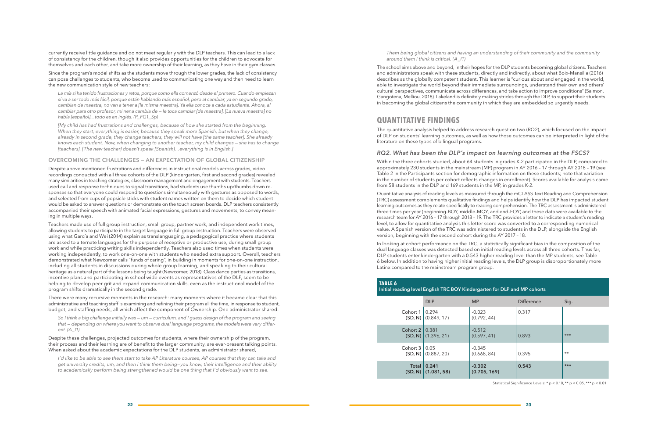currently receive little guidance and do not meet regularly with the DLP teachers. This can lead to a lack of consistency for the children, though it also provides opportunities for the children to advocate for themselves and each other, and take more ownership of their learning, as they have in their gym classes.

Since the program's model shifts as the students move through the lower grades, the lack of consistency can pose challenges to students, who become used to communicating one way and then need to learn the new communication style of new teachers:

*La mía sí ha tenido frustraciones y retos, porque como ella comenzó desde el primero. Cuando empiezan sí va a ser todo más fácil, porque están hablando más español, pero al cambiar, ya en segundo grado, cambian de maestra, no van a tener a [la misma maestra]. Ya ella conoce a cada estudiante. Ahora, al cambiar para otro profesor, mi nena cambia de — le toca cambiar [de maestra]. [La nueva maestra] no habla [español]... todo es en inglés. (P\_FG1\_Sp)*

*[My child has had frustrations and challenges, because of how she started from the beginning. When they start, everything is easier, because they speak more Spanish, but when they change, already in second grade, they change teachers, they will not have [the same teacher]. She already knows each student. Now, when changing to another teacher, my child changes — she has to change [teachers]. [The new teacher] doesn't speak [Spanish]…everything is in English.]*

#### **OVERCOMING THE CHALLENGES — AN EXPECTATION OF GLOBAL CITIZENSHIP**

Despite above mentioned frustrations and differences in instructional models across grades, video recordings conducted with all three cohorts of the DLP (kindergarten, first and second grades) revealed many similarities in teaching strategies, classroom management and engagement with students. Teachers used call and response techniques to signal transitions, had students use thumbs up/thumbs down responses so that everyone could respond to questions simultaneously with gestures as opposed to words, and selected from cups of popsicle sticks with student names written on them to decide which student would be asked to answer questions or demonstrate on the touch screen boards. DLP teachers consistently accompanied their speech with animated facial expressions, gestures and movements, to convey meaning in multiple ways.

*I'd like to be able to see them start to take AP Literature courses, AP courses that they can take and get university credits, um, and then I think them being—you know, their intelligence and their ability to academically perform being strengthened would be one thing that I'd obviously want to see.* 

Teachers made use of full group instruction, small group, partner work, and independent work times, allowing students to participate in the target language in full group instruction. Teachers were observed using what García and Wei (2014) explain as translanguaging, a pedagogical practice where students are asked to alternate languages for the purpose of receptive or productive use, during small group work and while practicing writing skills independently. Teachers also used times when students were working independently, to work one-on-one with students who needed extra support. Overall, teachers demonstrated what Newcomer calls "funds of caring", in building in moments for one-on-one instruction, including all students in discussions during whole group learning, and speaking to their cultural heritage as a natural part of the lessons being taught (Newcomer, 2018). Class dance parties as transitions, incentive plans and participating in school wide events as representatives of the DLP, seem to be helping to develop peer grit and expand communication skills, even as the instructional model of the program shifts dramatically in the second grade.

There were many recursive moments in the research: many moments where it became clear that this administrative and teaching staff is examining and refining their program all the time, in response to student, budget, and staffing needs, all which affect the component of Ownership. One administrator shared:

*So I think a big challenge initially was — um — curriculum, and I guess design of the program and seeing that — depending on where you went to observe dual language programs, the models were very different. (A\_I1)*

Despite these challenges, projected outcomes for students, where their ownership of the program, their process and their learning are of benefit to the larger community, are ever-present talking points. When asked about the academic expectations for the DLP students, an administrator shared,

#### *Them being global citizens and having an understanding of their community and the community*

*around them I think is critical. (A\_I1)*

The school aims above and beyond, in their hopes for the DLP students becoming global citizens. Teachers and administrators speak with these students, directly and indirectly, about what Boix-Mansilla (2016) describes as the globally competent student. This learner is "curious about and engaged in the world, able to investigate the world beyond their immediate surroundings, understand their own and others' cultural perspectives, communicate across differences, and take action to improve conditions" (Salmon, Gangotena, Melliou, 2018). Lakeland is definitely making strides through the DLP, to support their students in becoming the global citizens the community in which they are embedded so urgently needs.

## **QUANTITATIVE FINDINGS**

The quantitative analysis helped to address research question two (RQ2), which focused on the impact of DLP on students' learning outcomes, as well as how those outcomes can be interpreted in light of the literature on these types of bilingual programs.

#### *RQ2. What has been the DLP's impact on learning outcomes at the FSCS?*

Within the three cohorts studied, about 64 students in grades K-2 participated in the DLP, compared to approximately 230 students in the mainstream (MP) program in AY 2016 – 17 through AY 2018 – 19 (see Table 2 in the Participants section for demographic information on these students; note that variation in the number of students per cohort reflects changes in enrollment). Scores available for analysis came from 58 students in the DLP and 169 students in the MP, in grades K-2.

Quantitative analysis of reading levels as measured through the mCLASS Text Reading and Comprehension (TRC) assessment complements qualitative findings and helps identify how the DLP has impacted student learning outcomes as they relate specifically to reading comprehension. The TRC assessment is administered three times per year (beginning-BOY, middle-MOY, and end-EOY) and these data were available to the research team for AY 2016 – 17 through 2018 – 19. The TRC provides a letter to indicate a student's reading level, to allow for quantitative analysis this letter score was converted to a corresponding numerical value. A Spanish version of the TRC was administered to students in the DLP, alongside the English version, beginning with the second cohort during the AY 2017 – 18.

In looking at cohort performance on the TRC, a statistically significant bias in the composition of the dual language classes was detected based on initial reading levels across all three cohorts. Thus far, DLP students enter kindergarten with a 0.543 higher reading level than the MP students, see Table 6 below. In addition to having higher initial reading levels, the DLP group is disproportionately more Latinx compared to the mainstream program group.

# **TABLE 6**

| <b>TABLE 6</b><br>Initial reading level English TRC BOY Kindergarten for DLP and MP cohorts |                                |                          |                   |       |  |  |  |  |  |
|---------------------------------------------------------------------------------------------|--------------------------------|--------------------------|-------------------|-------|--|--|--|--|--|
|                                                                                             | <b>DLP</b>                     | <b>MP</b>                | <b>Difference</b> | Sig.  |  |  |  |  |  |
| Cohort 1                                                                                    | 0.294<br>$(SD, N)$ (0.849, 17) | $-0.023$<br>(0.792, 44)  | 0.317             |       |  |  |  |  |  |
| Cohort 2                                                                                    | 0.381<br>$(SD, N)$ (1.396, 21) | $-0.512$<br>(0.597, 41)  | 0.893             | $***$ |  |  |  |  |  |
| Cohort 3                                                                                    | 0.05<br>$(SD, N)$ (0.887, 20)  | $-0.345$<br>(0.668, 84)  | 0.395             | $**$  |  |  |  |  |  |
| Total                                                                                       | 0.241<br>$(SD, N)$ (1.081, 58) | $-0.302$<br>(0.705, 169) | 0.543             | $***$ |  |  |  |  |  |

Statistical Significance Levels: \* p < 0.10, \*\* p < 0.05, \*\*\* p < 0.01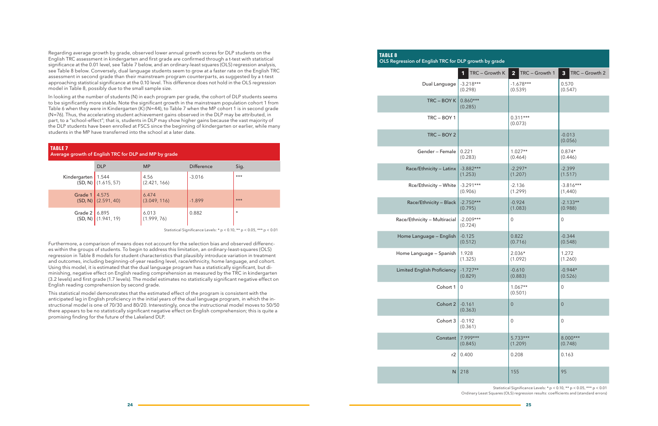Regarding average growth by grade, observed lower annual growth scores for DLP students on the English TRC assessment in kindergarten and first grade are confirmed through a t-test with statistical significance at the 0.01 level, see Table 7 below, and an ordinary-least squares (OLS) regression analysis, see Table 8 below. Conversely, dual language students seem to grow at a faster rate on the English TRC assessment in second grade than their mainstream program counterparts, as suggested by a t-test approaching statistical significance at the 0.10 level. This difference does not hold in the OLS regression model in Table 8, possibly due to the small sample size.

In looking at the number of students (N) in each program per grade, the cohort of DLP students seems to be significantly more stable. Note the significant growth in the mainstream population cohort 1 from Table 6 when they were in Kindergarten (K) (N=44), to Table 7 when the MP cohort 1 is in second grade (N=76). Thus, the accelerating student achievement gains observed in the DLP may be attributed, in part, to a "school-effect"; that is, students in DLP may show higher gains because the vast majority of the DLP students have been enrolled at FSCS since the beginning of kindergarten or earlier, while many students in the MP have transferred into the school at a later date.

Furthermore, a comparison of means does not account for the selection bias and observed differences within the groups of students. To begin to address this limitation, an ordinary-least-squares (OLS) regression in Table 8 models for student characteristics that plausibly introduce variation in treatment and outcomes, including beginning-of-year reading level, race/ethnicity, home language, and cohort. Using this model, it is estimated that the dual language program has a statistically significant, but diminishing, negative effect on English reading comprehension as measured by the TRC in kindergarten (3.2 levels) and first grade (1.7 levels). The model estimates no statistically significant negative effect on English reading comprehension by second grade.

This statistical model demonstrates that the estimated effect of the program is consistent with the anticipated lag in English proficiency in the initial years of the dual language program, in which the instructional model is one of 70/30 and 80/20. Interestingly, once the instructional model moves to 50/50 there appears to be no statistically significant negative effect on English comprehension; this is quite a promising finding for the future of the Lakeland DLP.

| <b>TABLE 7</b><br>Average growth of English TRC for DLP and MP by grade |                                  |                       |                   |          |  |  |  |  |  |
|-------------------------------------------------------------------------|----------------------------------|-----------------------|-------------------|----------|--|--|--|--|--|
|                                                                         | <b>DLP</b>                       | <b>MP</b>             | <b>Difference</b> | Sig.     |  |  |  |  |  |
| Kindergarten   1.544                                                    | $(SD, N)$ (1.615, 57)            | 4.56<br>(2.421, 166)  | $-3.016$          | $***$    |  |  |  |  |  |
| Grade 1                                                                 | 4.575<br>$(SD, N)$ $(2.591, 40)$ | 6.474<br>(3.049, 116) | $-1.899$          | $***$    |  |  |  |  |  |
| Grade 2                                                                 | 6.895<br>$(SD, N)$ (1.941, 19)   | 6.013<br>(1.999, 76)  | 0.882             | $^\star$ |  |  |  |  |  |

Statistical Significance Levels: \* p < 0.10, \*\* p < 0.05, \*\*\* p < 0.01

| <b>TABLE 8</b><br>OLS Regression of English TRC for DLP growth by grade |                        |                       |                     |
|-------------------------------------------------------------------------|------------------------|-----------------------|---------------------|
|                                                                         | TRC - Growth K         | TRC - Growth 1        | TRC - Growth 2      |
|                                                                         | 1                      | 2 <sub>2</sub>        | 3 <sup>1</sup>      |
| Dual Language                                                           | $-3.218***$            | $-1.678***$           | 0.570               |
|                                                                         | (0.298)                | (0.539)               | (0.547)             |
| TRC-BOYK                                                                | $0.860***$<br>(0.285)  |                       |                     |
| TRC-BOY1                                                                |                        | $0.311***$<br>(0.073) |                     |
| $TRC - BOY2$                                                            |                        |                       | $-0.013$<br>(0.056) |
| Gender - Female                                                         | 0.221                  | $1.027**$             | $0.874*$            |
|                                                                         | (0.283)                | (0.464)               | (0.446)             |
| Race/Ethnicity - Latinx                                                 | $-3.882***$            | $-2.297*$             | $-2.399$            |
|                                                                         | (1.253)                | (1.207)               | (1.517)             |
| Rce/Ethnicity - White                                                   | $-3.291***$            | $-2.136$              | $-3.816***$         |
|                                                                         | (0.906)                | (1.299)               | (1,440)             |
| Race/Ethnicity - Black                                                  | $-2.750***$            | $-0.924$              | $-2.133**$          |
|                                                                         | (0.795)                | (1.083)               | (0.988)             |
| Race/Ethnicity - Multiracial                                            | $-2.009***$<br>(0.724) | $\mathbf 0$           | $\mathbf 0$         |
| Home Language - English                                                 | $-0.125$               | 0.822                 | $-0.344$            |
|                                                                         | (0.512)                | (0.716)               | (0.548)             |
| Home Language - Spanish                                                 | 1.928                  | $2.036*$              | 1.272               |
|                                                                         | (1.325)                | (1.092)               | (1.260)             |
| <b>Limited English Proficiency</b>                                      | $-1.727**$             | $-0.610$              | $-0.944*$           |
|                                                                         | (0.829)                | (0.883)               | (0.526)             |
| Cohort 1                                                                | $\mathbf 0$            | $1.067**$<br>(0.501)  | $\mathbf 0$         |
| Cohort 2                                                                | $-0.161$<br>(0.363)    | $\mathbf 0$           | $\theta$            |
| Cohort 3                                                                | $-0.192$<br>(0.361)    | $\mathbf 0$           | $\mathbf 0$         |
| Constant                                                                | $7.999***$             | $5.733***$            | $8.000***$          |
|                                                                         | (0.845)                | (1.209)               | (0.748)             |
| r2                                                                      | 0.400                  | 0.208                 | 0.163               |
| ${\sf N}$                                                               | 218                    | 155                   | 95                  |

Statistical Significance Levels: \* p < 0.10, \*\* p < 0.05, \*\*\* p < 0.01 Ordinary Least Squares (OLS) regression results: coefficients and (standard errors)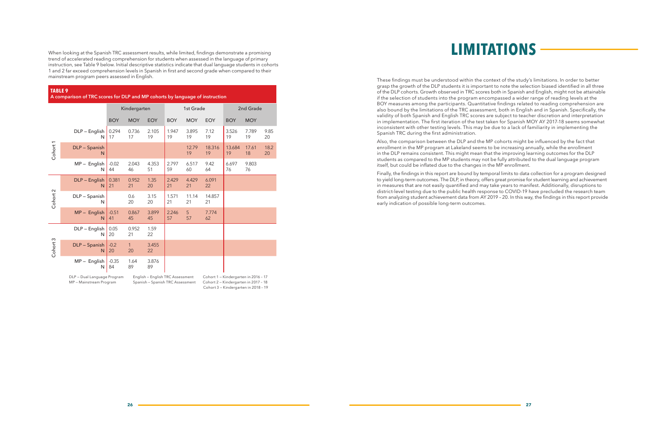When looking at the Spanish TRC assessment results, while limited, findings demonstrate a promising trend of accelerated reading comprehension for students when assessed in the language of primary instruction, see Table 9 below. Initial descriptive statistics indicate that dual language students in cohorts 1 and 2 far exceed comprehension levels in Spanish in first and second grade when compared to their mainstream program peers assessed in English.

#### **TABLE 9**

**A comparison of TRC scores for DLP and MP cohorts by language of instruction**

|          |                             |               | Kindergarten       |                                  | 1st Grade   |             |                                      |              | 2nd Grade   |            |
|----------|-----------------------------|---------------|--------------------|----------------------------------|-------------|-------------|--------------------------------------|--------------|-------------|------------|
|          |                             | <b>BOY</b>    | <b>MOY</b>         | <b>EOY</b>                       | <b>BOY</b>  | <b>MOY</b>  | <b>EOY</b>                           | <b>BOY</b>   | <b>MOY</b>  |            |
| Cohort 1 | DLP - English<br>N          | 0.294<br>17   | 0.736<br>17        | 2.105<br>19                      | 1.947<br>19 | 3.895<br>19 | 7.12<br>19                           | 3.526<br>19  | 7.789<br>19 | 9.85<br>20 |
|          | DLP - Spanish<br>N          |               |                    |                                  |             | 12.79<br>19 | 18.316<br>19                         | 13.684<br>19 | 17.61<br>18 | 18.2<br>20 |
|          | $MP -$ English<br>N         | $-0.02$<br>44 | 2.043<br>46        | 4.353<br>51                      | 2.797<br>59 | 6.517<br>60 | 9.42<br>64                           | 6.697<br>76  | 9.803<br>76 |            |
|          | DLP - English<br>N          | 0.381<br>21   | 0.952<br>21        | 1.35<br>20                       | 2.429<br>21 | 4.429<br>21 | 6.091<br>22                          |              |             |            |
| Cohort 2 | DLP - Spanish<br>N          |               | 0.6<br>20          | 3.15<br>20                       | 1.571<br>21 | 11.14<br>21 | 14.857<br>21                         |              |             |            |
|          | $MP -$ English<br>N         | $-0.51$<br>41 | 0.867<br>45        | 3.899<br>45                      | 2.246<br>57 | 5<br>57     | 7.774<br>62                          |              |             |            |
|          | DLP - English<br>N          | 0.05<br>20    | 0.952<br>21        | 1.59<br>22                       |             |             |                                      |              |             |            |
| Cohort 3 | DLP - Spanish<br>N          | $-0.2$<br>20  | $\mathbf{1}$<br>20 | 3.455<br>22                      |             |             |                                      |              |             |            |
|          | $MP -$ English<br>N         | $-0.35$<br>84 | 1.64<br>89         | 3.876<br>89                      |             |             |                                      |              |             |            |
|          | DLP - Dual Language Program |               |                    | English - English TRC Assessment |             |             | Cohort 1 - Kindergarten in 2016 - 17 |              |             |            |

MP — Mainstream Program Spanish — Spanish TRC Assessment Cohort 2 — Kindergarten in 2017 – 18 Cohort 3 — Kindergarten in 2018 – 19 These findings must be understood within the context of the study's limitations. In order to better grasp the growth of the DLP students it is important to note the selection biased identified in all three of the DLP cohorts. Growth observed in TRC scores both in Spanish and English, might not be attainable if the selection of students into the program encompassed a wider range of reading levels at the BOY measures among the participants. Quantitative findings related to reading comprehension are also bound by the limitations of the TRC assessment, both in English and in Spanish. Specifically, the validity of both Spanish and English TRC scores are subject to teacher discretion and interpretation in implementation. The first iteration of the test taken for Spanish MOY AY 2017-18 seems somewhat inconsistent with other testing levels. This may be due to a lack of familiarity in implementing the Spanish TRC during the first administration.

Also, the comparison between the DLP and the MP cohorts might be influenced by the fact that enrollment in the MP program at Lakeland seems to be increasing annually, while the enrollment in the DLP remains consistent. This might mean that the improving learning outcomes for the DLP students as compared to the MP students may not be fully attributed to the dual language program itself, but could be inflated due to the changes in the MP enrollment.

Finally, the findings in this report are bound by temporal limits to data collection for a program designed to yield long-term outcomes. The DLP, in theory, offers great promise for student learning and achievement in measures that are not easily quantified and may take years to manifest. Additionally, disruptions to district-level testing due to the public health response to COVID-19 have precluded the research team from analyzing student achievement data from AY 2019 – 20. In this way, the findings in this report provide early indication of possible long-term outcomes.

# **LIMITATIONS**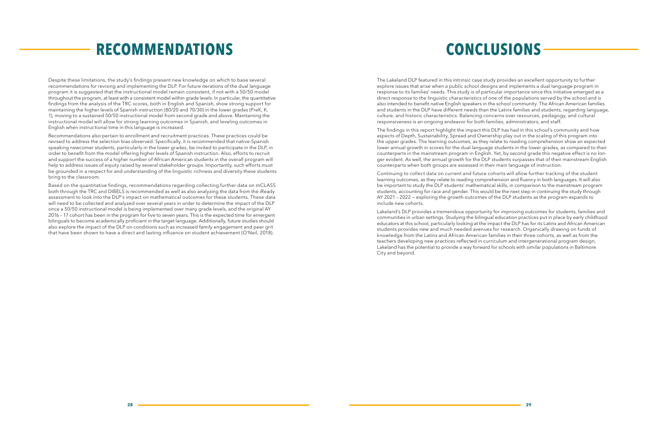Despite these limitations, the study's findings present new knowledge on which to base several recommendations for revising and implementing the DLP. For future iterations of the dual language program it is suggested that the instructional model remain consistent, if not with a 50/50 model throughout the program, at least with a consistent model within grade levels. In particular, the quantitative findings from the analysis of the TRC scores, both in English and Spanish, show strong support for maintaining the higher levels of Spanish instruction (80/20 and 70/30) in the lower grades (PreK, K, 1), moving to a sustained 50/50 instructional model from second grade and above. Maintaining the instructional model will allow for strong learning outcomes in Spanish, and leveling outcomes in English when instructional time in this language is increased.

Recommendations also pertain to enrollment and recruitment practices. These practices could be revised to address the selection bias observed. Specifically, it is recommended that native-Spanish speaking newcomer students, particularly in the lower grades, be invited to participate in the DLP, in order to benefit from the model offering higher levels of Spanish instruction. Also, efforts to recruit and support the success of a higher number of African American students in the overall program will help to address issues of equity raised by several stakeholder groups. Importantly, such efforts must be grounded in a respect for and understanding of the linguistic richness and diversity these students bring to the classroom.

Based on the quantitative findings, recommendations regarding collecting further data on mCLASS both through the TRC and DIBELS is recommended as well as also analyzing the data from the iReady assessment to look into the DLP's impact on mathematical outcomes for these students. These data will need to be collected and analyzed over several years in order to determine the impact of the DLP once a 50/50 instructional model is being implemented over many grade levels, and the original AY 2016 – 17 cohort has been in the program for five to seven years. This is the expected time for emergent bilinguals to become academically proficient in the target language. Additionally, future studies should also explore the impact of the DLP on conditions such as increased family engagement and peer grit that have been shown to have a direct and lasting influence on student achievement (O'Neil, 2018).

# **RECOMMENDATIONS**

The Lakeland DLP featured in this intrinsic case study provides an excellent opportunity to further explore issues that arise when a public school designs and implements a dual language program in response to its families' needs. This study is of particular importance since this initiative emerged as a direct response to the linguistic characteristics of one of the populations served by the school and is also intended to benefit native English speakers in the school community. The African American families and students in the DLP have different needs than the Latinx families and students, regarding language, culture, and historic characteristics. Balancing concerns over resources, pedagogy, and cultural responsiveness is an ongoing endeavor for both families, administrators, and staff.

The findings in this report highlight the impact this DLP has had in this school's community and how aspects of Depth, Sustainability, Spread and Ownership play out in the scaling of this program into the upper grades. The learning outcomes, as they relate to reading comprehension show an expected lower annual growth in scores for the dual language students in the lower grades, as compared to their counterparts in the mainstream program in English. Yet, by second grade this negative effect is no longer evident. As well, the annual growth for the DLP students surpasses that of their mainstream English counterparts when both groups are assessed in their main language of instruction.

Continuing to collect data on current and future cohorts will allow further tracking of the student learning outcomes, as they relate to reading comprehension and fluency in both languages. It will also be important to study the DLP students' mathematical skills, in comparison to the mainstream program students, accounting for race and gender. This would be the next step in continuing the study through AY 2021 – 2022 — exploring the growth outcomes of the DLP students as the program expands to include new cohorts.

Lakeland's DLP provides a tremendous opportunity for improving outcomes for students, families and communities in urban settings. Studying the bilingual education practices put in place by early childhood educators at this school, particularly looking at the impact the DLP has for its Latinx and African American students provides new and much needed avenues for research. Organically drawing on funds of knowledge from the Latinx and African American families in their three cohorts, as well as from the teachers developing new practices reflected in curriculum and intergenerational program design, Lakeland has the potential to provide a way forward for schools with similar populations in Baltimore City and beyond.

# **CONCLUSIONS**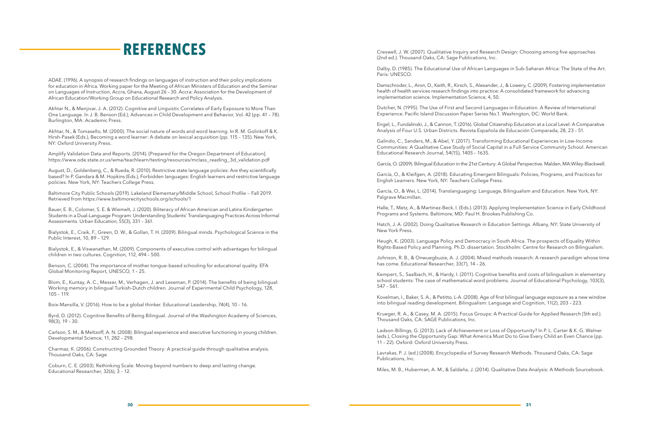ADAE. (1996). A synopsis of research findings on languages of instruction and their policy implications for education in Africa. Working paper for the Meeting of African Ministers of Education and the Seminar on Languages of Instruction, Accra, Ghana, August 26 – 30. Accra: Association for the Development of African Education/Working Group on Educational Research and Policy Analysis.

Akhtar N., & Menjivar, J. A. (2012). Cognitive and Linguistic Correlates of Early Exposure to More Than One Language. In J. B. Benson (Ed.), Advances in Child Development and Behavior, Vol. 42 (pp. 41 – 78). Burlington, MA: Academic Press.

Akhtar, N., & Tomasello, M. (2000). The social nature of words and word learning. In R. M. Golinkoff & K. Hirsh-Pasek (Eds.), Becoming a word learner: A debate on lexical acquisition (pp. 115 – 135). New York, NY: Oxford University Press.

Amplify Validation Data and Reports. (2014). [Prepared for the Oregon Department of Education]. https://www.ode.state.or.us/wma/teachlearn/testing/resources/mclass\_reading\_3d\_validation.pdf

August, D., Goldenberg, C., & Rueda, R. (2010). Restrictive state language policies: Are they scientifically based? In P. Gandara & M. Hopkins (Eds.), Forbidden languages: English learners and restrictive language policies. New York, NY: Teachers College Press.

Baltimore City Public Schools (2019). Lakeland Elementary/Middle School, School Profile *—* Fall 2019. Retrieved from https://www.baltimorecityschools.org/schools/1

Bauer, E. B., Colomer, S. E. & Wiemelt, J. (2020). Biliteracy of African American and Latinx Kindergarten Students in a Dual-Language Program: Understanding Students' Translanguaging Practices Across Informal Assessments. Urban Education, 55(3), 331 – 361.

Bialystok, E., Craik, F., Green, D. W., & Gollan, T. H. (2009). Bilingual minds. Psychological Science in the Public Interest, 10, 89 – 129.

Bialystok, E., & Viswanathan, M. (2009). Components of executive control with advantages for bilingual children in two cultures. Cognition, 112, 494 – 500.

Benson, C. (2004). The importance of mother tongue-based schooling for educational quality. EFA Global Monitoring Report, UNESCO, 1 – 25.

Blom, E., Kuntay, A. C., Messer, M., Verhagen, J. and Leseman, P. (2014). The benefits of being bilingual: Working memory in bilingual Turkish-Dutch children. Journal of Experimental Child Psychology, 128, 105 – 119.

Boix-Mansilla, V. (2016). How to be a global thinker. Educational Leadership, 74(4), 10 – 16.

Byrd, D. (2012). Cognitive Benefits of Being Bilingual. Journal of the Washington Academy of Sciences, 98(3), 19 – 30.

Carlson, S. M., & Meltzoff, A. N. (2008). Bilingual experience and executive functioning in young children. Developmental Science, 11, 282 – 298.

Charmaz, K. (2006). Constructing Grounded Theory: A practical guide through qualitative analysis. Thousand Oaks, CA: Sage

Coburn, C. E. (2003). Rethinking Scale: Moving beyond numbers to deep and lasting change. Educational Researcher, 32(6), 3 – 12.

**REFERENCES** Creswell, J. W. (2007). Qualitative Inquiry and Research Design: Choosing among five approaches (2nd ed.). Thousand Oaks, CA: Sage Publications, Inc.

> Dalby, D. (1985). The Educational Use of African Languages in Sub-Saharan Africa: The State of the Art. Paris: UNESCO.

> Damschroder, L., Aron, D., Keith, R., Kirsch, S., Alexander, J., & Lowery, C. (2009). Fostering implementation health of health services research findings into practice: A consolidated framework for advancing implementation science. Implementation Science, 4, 50.

Dutcher, N. (1995). The Use of First and Second Languages in Education. A Review of International Experience. Pacific Island Discussion Paper Series No.1. Washington, DC: World Bank.

Engel, L., Fundalinski, J., & Cannon, T. (2016). Global Citizenship Education at a Local Level: A Comparative Analysis of Four U.S. Urban Districts. Revista Española de Educación Comparada, 28, 23 – 51.

Galindo, C., Sanders, M., & Abel, Y. (2017). Transforming Educational Experiences in Low-Income Communities: A Qualitative Case Study of Social Capital in a Full-Service Community School. American Educational Research Journal, 54(1S), 140S – 163S.

García, O. (2009). Bilingual Education in the 21st Century: A Global Perspective. Malden, MA:Wiley-Blackwell.

García, O., & Kleifgen, A. (2018). Educating Emergent Bilinguals: Policies, Programs, and Practices for English Learners. New York, NY: Teachers College Press.

García, O., & Wei, L. (2014). Translanguaging: Language, Bilingualism and Education. New York, NY: Palgrave Macmillan.

Halle, T., Metz, A., & Martinez-Beck, I. (Eds.). (2013). Applying Implementation Science in Early Childhood Programs and Systems. Baltimore, MD: Paul H. Brookes Publishing Co.

Hatch, J. A. (2002). Doing Qualitative Research in Education Settings. Albany, NY: State University of New York Press.

Heugh, K. (2003). Language Policy and Democracy in South Africa. The prospects of Equality Within Rights-Based Policy and Planning. Ph.D. dissertation. Stockholm: Centre for Research on Bilingualism.

Johnson, R. B., & Onwuegbuzie, A. J. (2004). Mixed methods research: A research paradigm whose time has come. Educational Researcher, 33(7), 14 – 26.

Kempert, S., Saalbach, H., & Hardy, I. (2011). Cognitive benefits and costs of bilingualism in elementary school students: The case of mathematical word problems. Journal of Educational Psychology, 103(3), 547 – 561.

Kovelman, I., Baker, S. A., & Petitto, L-A. (2008). Age of first bilingual language exposure as a new window into bilingual reading development. Bilingualism: Language and Cognition, 11(2), 203 – 223.

Krueger, R. A., & Casey, M. A. (2015). Focus Groups: A Practical Guide for Applied Research (5th ed.). Thousand Oaks, CA: SAGE Publications, Inc.

Ladson-Billings, G. (2013). Lack of Achievement or Loss of Opportunity? In P. L. Carter & K. G. Welner (eds.), Closing the Opportunity Gap: What America Must Do to Give Every Child an Even Chance (pp. 11 – 22). Oxford: Oxford University Press.

Lavrakas, P. J. (ed.) (2008). Encyclopedia of Survey Research Methods. Thousand Oaks, CA: Sage Publications, Inc.

Miles, M. B., Huberman, A. M., & Saldaña, J. (2014). Qualitative Data Analysis: A Methods Sourcebook.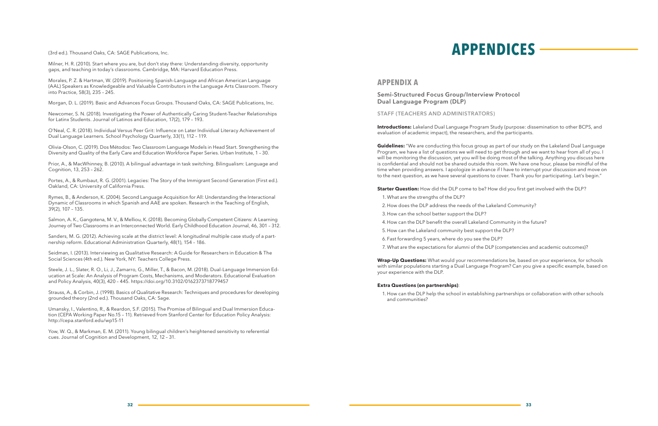**Starter Question:** How did the DLP come to be? How did you first get involved with the DLP?

# (3rd ed.). Thousand Oaks, CA: SAGE Publications, Inc. **APPENDICES**

Milner, H. R. (2010). Start where you are, but don't stay there: Understanding diversity, opportunity gaps, and teaching in today's classrooms. Cambridge, MA: Harvard Education Press.

Morales, P. Z. & Hartman, W. (2019). Positioning Spanish-Language and African American Language (AAL) Speakers as Knowledgeable and Valuable Contributors in the Language Arts Classroom. Theory into Practice, 58(3), 235 – 245.

Morgan, D. L. (2019). Basic and Advances Focus Groups. Thousand Oaks, CA: SAGE Publications, Inc.

Newcomer, S. N. (2018). Investigating the Power of Authentically Caring Student-Teacher Relationships for Latinx Students. Journal of Latinos and Education, 17(2), 179 – 193.

O'Neal, C. R. (2018). Individual Versus Peer Grit: Influence on Later Individual Literacy Achievement of Dual Language Learners. School Psychology Quarterly, 33(1), 112 – 119.

Olivia-Olson, C. (2019). Dos Métodos: Two Classroom Language Models in Head Start. Strengthening the Diversity and Quality of the Early Care and Education Workforce Paper Series. Urban Institute, 1 – 30.

Prior, A., & MacWhinney, B. (2010). A bilingual advantage in task switching. Bilingualism: Language and Cognition, 13, 253 – 262.

Portes, A., & Rumbaut, R. G. (2001). Legacies: The Story of the Immigrant Second Generation (First ed.). Oakland, CA: University of California Press.

Rymes, B., & Anderson, K. (2004). Second Language Acquisition for All: Understanding the Interactional Dynamic of Classrooms in which Spanish and AAE are spoken. Research in the Teaching of English, 39(2), 107 – 135.

Salmon, A. K., Gangotena, M. V., & Melliou, K. (2018). Becoming Globally Competent Citizens: A Learning Journey of Two Classrooms in an Interconnected World. Early Childhood Education Journal, 46, 301 – 312.

Sanders, M. G. (2012). Achieving scale at the district level: A longitudinal multiple case study of a partnership reform. Educational Administration Quarterly, 48(1), 154 – 186.

**Guidelines:** "We are conducting this focus group as part of our study on the Lakeland Dual Language Program, we have a list of questions we will need to get through and we want to hear from all of you. I will be monitoring the discussion, yet you will be doing most of the talking. Anything you discuss here is confidential and should not be shared outside this room. We have one hour, please be mindful of the time when providing answers. I apologize in advance if I have to interrupt your discussion and move on to the next question, as we have several questions to cover. Thank you for participating. Let's begin."

Seidman, I. (2013). Interviewing as Qualitative Research: A Guide for Researchers in Education & The Social Sciences (4th ed.). New York, NY: Teachers College Press.

Steele, J. L., Slater, R. O., Li, J., Zamarro, G., Miller, T., & Bacon, M. (2018). Dual-Language Immersion Education at Scale: An Analysis of Program Costs, Mechanisms, and Moderators. Educational Evaluation and Policy Analysis, 40(3), 420 – 445. https://doi.org/10.3102/0162373718779457

Strauss, A., & Corbin, J. (1998). Basics of Qualitative Research: Techniques and procedures for developing grounded theory (2nd ed.). Thousand Oaks, CA: Sage.

Umansky, I., Valentino, R., & Reardon, S.F. (2015). The Promise of Bilingual and Dual Immersion Education (CEPA Working Paper No.15 – 11). Retrieved from Stanford Center for Education Policy Analysis: http://cepa.stanford.edu/wp15-11

Yow, W. Q., & Markman, E. M. (2011). Young bilingual children's heightened sensitivity to referential cues. Journal of Cognition and Development, 12, 12 – 31.

## **APPENDIX A**

**Semi-Structured Focus Group/Interview Protocol Dual Language Program (DLP)**

**STAFF (TEACHERS AND ADMINISTRATORS)**

**Introductions:** Lakeland Dual Language Program Study (purpose: dissemination to other BCPS, and evaluation of academic impact), the researchers, and the participants.

- 1. What are the strengths of the DLP?
- 2. How does the DLP address the needs of the Lakeland Community?
- 3. How can the school better support the DLP?
- 4. How can the DLP benefit the overall Lakeland Community in the future?
- 5. How can the Lakeland community best support the DLP?
- 6. Fast forwarding 5 years, where do you see the DLP?
- 

7. What are the expectations for alumni of the DLP (competencies and academic outcomes)?

**Wrap-Up Questions:** What would your recommendations be, based on your experience, for schools with similar populations starting a Dual Language Program? Can you give a specific example, based on your experience with the DLP.

#### **Extra Questions (on partnerships)**:

1. How can the DLP help the school in establishing partnerships or collaboration with other schools

and communities?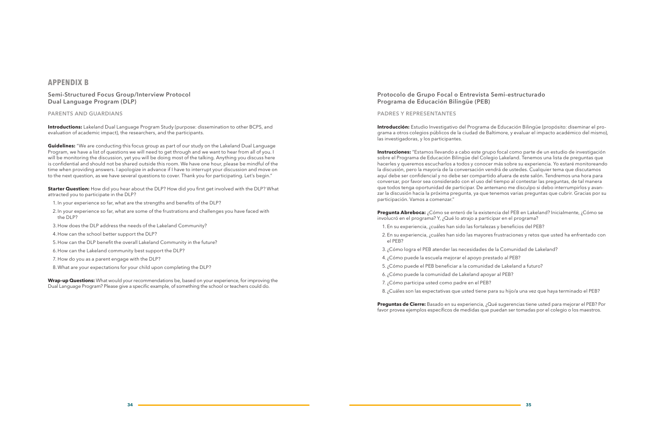### **APPENDIX B**

### **Semi-Structured Focus Group/Interview Protocol Dual Language Program (DLP)**

#### **PARENTS AND GUARDIANS**

**Introductions:** Lakeland Dual Language Program Study (purpose: dissemination to other BCPS, and evaluation of academic impact), the researchers, and the participants.

**Guidelines:** "We are conducting this focus group as part of our study on the Lakeland Dual Language Program, we have a list of questions we will need to get through and we want to hear from all of you. I will be monitoring the discussion, yet you will be doing most of the talking. Anything you discuss here is confidential and should not be shared outside this room. We have one hour, please be mindful of the time when providing answers. I apologize in advance if I have to interrupt your discussion and move on to the next question, as we have several questions to cover. Thank you for participating. Let's begin."

**Starter Question:** How did you hear about the DLP? How did you first get involved with the DLP? What attracted you to participate in the DLP?

- 1. In your experience so far, what are the strengths and benefits of the DLP?
- 2. In your experience so far, what are some of the frustrations and challenges you have faced with the DLP?
- 3. How does the DLP address the needs of the Lakeland Community?
- 4. How can the school better support the DLP?
- 5. How can the DLP benefit the overall Lakeland Community in the future?
- 6. How can the Lakeland community best support the DLP?
- 7. How do you as a parent engage with the DLP?
- 8.What are your expectations for your child upon completing the DLP?

**Wrap-up Questions:** What would your recommendations be, based on your experience, for improving the Dual Language Program? Please give a specific example, of something the school or teachers could do.

### **Protocolo de Grupo Focal o Entrevista Semi-estructurado Programa de Educación Bilingüe (PEB)**

### **PADRES Y REPRESENTANTES**

**Introducción:** Estudio Investigativo del Programa de Educación Bilingüe (propósito: diseminar el programa a otros colegios públicos de la ciudad de Baltimore, y evaluar el impacto académico del mismo), las investigadoras, y los participantes.

**Instrucciones:** "Estamos llevando a cabo este grupo focal como parte de un estudio de investigación sobre el Programa de Educación Bilingüe del Colegio Lakeland. Tenemos una lista de preguntas que hacerles y queremos escucharlos a todos y conocer más sobre su experiencia. Yo estaré monitoreando la discusión, pero la mayoría de la conversación vendrá de ustedes. Cualquier tema que discutamos aquí debe ser confidencial y no debe ser compartido afuera de este salón. Tendremos una hora para conversar, por favor sea considerado con el uso del tiempo al contestar las preguntas, de tal manera que todos tenga oportunidad de participar. De antemano me disculpo si debo interrumpirlos y avanzar la discusión hacia la próxima pregunta, ya que tenemos varias preguntas que cubrir. Gracias por su participación. Vamos a comenzar."

- **Pregunta Abreboca:** ¿Cómo se enteró de la existencia del PEB en Lakeland? Inicialmente, ¿Cómo se
	-
	-
	-
	-

involucró en el programa? Y, ¿Qué lo atrajo a participar en el programa?

- 1. En su experiencia, ¿cuáles han sido las fortalezas y beneficios del PEB?
- 2. En su experiencia, ¿cuáles han sido las mayores frustraciones y retos que usted ha enfrentado con el PEB?
- 3. ¿Cómo logra el PEB atender las necesidades de la Comunidad de Lakeland?
- 4. ¿Cómo puede la escuela mejorar el apoyo prestado al PEB?
- 5. ¿Cómo puede el PEB beneficiar a la comunidad de Lakeland a futuro?
- 6. ¿Cómo puede la comunidad de Lakeland apoyar al PEB?
- 7. ¿Cómo participa usted como padre en el PEB?
- 8. ¿Cuáles son las expectativas que usted tiene para su hijo/a una vez que haya terminado el PEB?

**Preguntas de Cierre:** Basado en su experiencia, ¿Qué sugerencias tiene usted para mejorar el PEB? Por favor provea ejemplos específicos de medidas que puedan ser tomadas por el colegio o los maestros.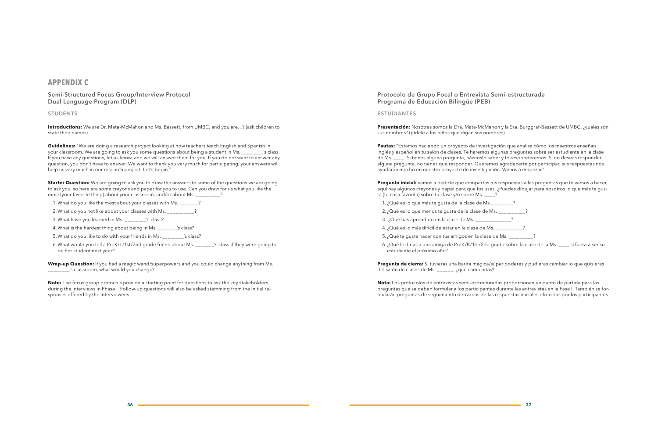| Ms._________?                  |  |
|--------------------------------|--|
| de Ms. __________              |  |
|                                |  |
| e Ms. ___________?             |  |
| $222 \text{ A} \cdot \text{M}$ |  |

## **APPENDIX C**

### **Semi-Structured Focus Group/Interview Protocol Dual Language Program (DLP)**

#### **STUDENTS**

**Introductions:** We are Dr. Mata-McMahon and Ms. Bassett, from UMBC, and you are…? (ask children to state their names).

**Guidelines:** "We are doing a research project looking at how teachers teach English and Spanish in your classroom. We are going to ask you some questions about being a student in Ms.  $\sim$  's class. If you have any questions, let us know, and we will answer them for you. If you do not want to answer any question, you don't have to answer. We want to thank you very much for participating, your answers will help us very much in our research project. Let's begin."

**Starter Question:** We are going to ask you to draw the answers to some of the questions we are going to ask you, so here are some crayons and paper for you to use. Can you draw for us what you like the most (your favorite thing) about your classroom, and/or about Ms. \_\_\_\_\_\_\_\_\_?

- 1. What do you like the most about your classes with Ms. \_\_\_\_\_\_\_?
- 2. What do you not like about your classes with Ms.  $\qquad \qquad$  ?
- 3.What have you learned in Ms. \_\_\_\_\_\_\_\_'s class?
- 4.What is the hardest thing about being in Ms. \_\_\_\_\_\_\_'s class?
- 5.What do you like to do with your friends in Ms. \_\_\_\_\_\_\_\_'s class?
- 6.What would you tell a PreK/L/1st/2nd grade friend about Ms. \_\_\_\_\_\_\_'s class if they were going to be her student next year?

**Wrap-up Question:** If you had a magic wand/superpowers and you could change anything from Ms. \_\_\_\_\_\_\_\_'s classroom, what would you change?

- 1. ¿Qué es lo que más te gusta de la clase de
- 2. ¿Qué es lo que menos te qusta de la clase de
- 3. ¿Qué has aprendido en la clase de Ms.
- 4. ¿Qué es lo más difícil de estar en la clase de
- 5. ¿Qué te gusta hacer con tus amigos en la clase de Ms. \_\_\_\_\_\_\_\_\_?
- estudiante el próximo año?

**Note:** The focus group protocols provide a starting point for questions to ask the key stakeholders during the interviews in Phase I. Follow-up questions will also be asked stemming from the initial responses offered by the interviewees.

**Protocolo de Grupo Focal o Entrevista Semi-estructurada Programa de Educación Bilingüe (PEB)**

#### **ESTUDIANTES**

**Presentación:** Nosotras somos la Dra. Mata-McMahon y la Sra. Burggraf-Bassett de UMBC, ¿cuáles son sus nombres? (pídele a los niños que digan sus nombres).

**Pautas:** "Estamos haciendo un proyecto de investigación que analiza cómo los maestros enseñan inglés y español en tu salón de clases. Te haremos algunas preguntas sobre ser estudiante en la clase de Ms. \_\_\_\_. Si tienes alguna pregunta, háznoslo saber y te responderemos. Si no deseas responder alguna pregunta, no tienes que responder. Queremos agradecerte por participar, sus respuestas nos ayudarán mucho en nuestro proyecto de investigación. Vamos a empezar."

**Pregunta inicial:** vamos a pedirte que compartas tus respuestas a las preguntas que te vamos a hacer, aquí hay algunos creyones y papel para que los uses. ¿Puedes dibujar para nosotros lo que más te gusta (tu cosa favorita) sobre tu clase y/o sobre Ms. \_\_\_\_?

6. ¿Qué le dirías a una amiga de PreK/K/1er/2do grado sobre la clase de la Ms. \_\_\_\_ si fuera a ser su

**Pregunta de cierra:** Si tuvieras una barita mágica/súper poderes y pudieras cambiar lo que quisieras del salón de clases de Ms. \_\_\_\_\_\_, ¿qué cambiarías?

**Nota:** Los protocolos de entrevistas semi-estructuradas proporcionan un punto de partida para las preguntas que se deben formular a los participantes durante las entrevistas en la Fase I. También se formularán preguntas de seguimiento derivadas de las respuestas iniciales ofrecidas por los participantes.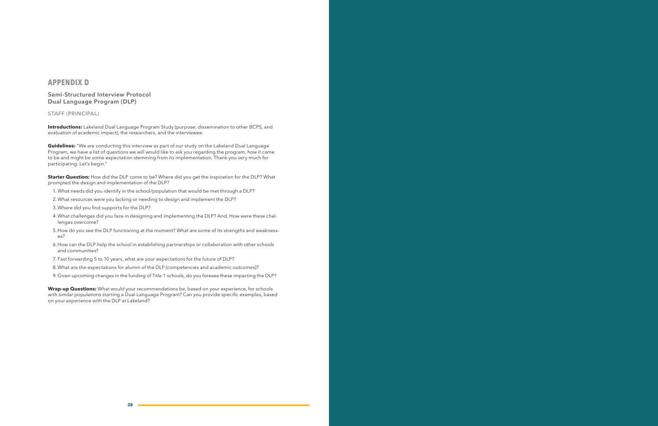## **APPENDIX D**

**Semi-Structured Interview Protocol Dual Language Program (DLP)**

#### **STAFF (PRINCIPAL)**

**Introductions:** Lakeland Dual Language Program Study (purpose: dissemination to other BCPS, and evaluation of academic impact), the researchers, and the interviewee.

**Guidelines:** "We are conducting this interview as part of our study on the Lakeland Dual Language Program, we have a list of questions we will would like to ask you regarding the program, how it came to be and might be some expectation stemming from its implementation. Thank you very much for participating. Let's begin."

**Starter Question:** How did the DLP come to be? Where did you get the inspiration for the DLP? What prompted the design and implementation of the DLP?

- 1. What needs did you identify in the school/population that would be met through a DLP?
- 2. What resources were you lacking or needing to design and implement the DLP?
- 3.Where did you find supports for the DLP?
- 4.What challenges did you face in designing and implementing the DLP? And, How were these challenges overcome?
- 5. How do you see the DLP functioning at the moment? What are some of its strengths and weaknesses?
- 6. How can the DLP help the school in establishing partnerships or collaboration with other schools and communities?
- 7. Fast forwarding 5 to 10 years, what are your expectations for the future of DLP?
- 8.What are the expectations for alumni of the DLP (competencies and academic outcomes)?
- 9. Given upcoming changes in the funding of Title 1 schools, do you foresee these impacting the DLP?

**Wrap-up Questions:** What would your recommendations be, based on your experience, for schools with similar populations starting a Dual Language Program? Can you provide specific examples, based on your experience with the DLP at Lakeland?